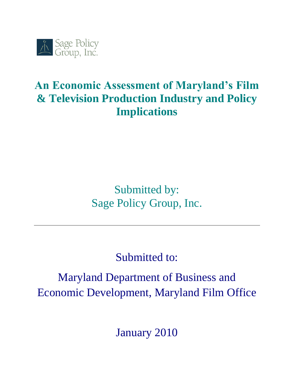

# **An Economic Assessment of Maryland's Film & Television Production Industry and Policy Implications**

Submitted by: Sage Policy Group, Inc.

Submitted to:

Maryland Department of Business and Economic Development, Maryland Film Office

January 2010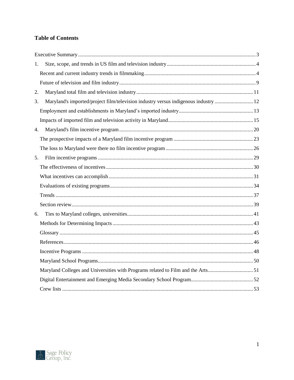# **Table of Contents**

| 1. |                                                                                     |  |
|----|-------------------------------------------------------------------------------------|--|
|    |                                                                                     |  |
|    |                                                                                     |  |
| 2. |                                                                                     |  |
| 3. | Maryland's imported/project film/television industry versus indigenous industry  12 |  |
|    |                                                                                     |  |
|    |                                                                                     |  |
| 4. |                                                                                     |  |
|    |                                                                                     |  |
|    |                                                                                     |  |
| 5. |                                                                                     |  |
|    |                                                                                     |  |
|    |                                                                                     |  |
|    |                                                                                     |  |
|    |                                                                                     |  |
|    |                                                                                     |  |
| 6. |                                                                                     |  |
|    |                                                                                     |  |
|    |                                                                                     |  |
|    |                                                                                     |  |
|    |                                                                                     |  |
|    |                                                                                     |  |
|    | Maryland Colleges and Universities with Programs related to Film and the Arts51     |  |
|    |                                                                                     |  |
|    |                                                                                     |  |

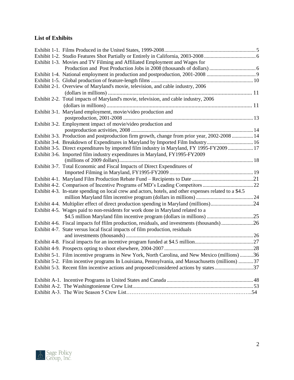# **List of Exhibits**

| Exhibit 1-3. Movies and TV Filming and Affiliated Employment and Wages for                             |  |
|--------------------------------------------------------------------------------------------------------|--|
|                                                                                                        |  |
|                                                                                                        |  |
|                                                                                                        |  |
| Exhibit 2-1. Overview of Maryland's movie, television, and cable industry, 2006                        |  |
|                                                                                                        |  |
| Exhibit 2-2. Total impacts of Maryland's movie, television, and cable industry, 2006                   |  |
|                                                                                                        |  |
| Exhibit 3-1. Maryland employment, movie/video production and                                           |  |
|                                                                                                        |  |
| Exhibit 3-2. Employment impact of movie/video production and                                           |  |
|                                                                                                        |  |
| Exhibit 3-3. Production and postproduction firm growth, change from prior year, 2002-2008  14          |  |
| Exhibit 3-4. Breakdown of Expenditures in Maryland by Imported Film Industry16                         |  |
| Exhibit 3-5. Direct expenditures by imported film industry in Maryland, FY 1995-FY2009  17             |  |
| Exhibit 3-6. Imported film industry expenditures in Maryland, FY1995-FY2009                            |  |
|                                                                                                        |  |
| Exhibit 3-7. Total Economic and Fiscal Impacts of Direct Expenditures of                               |  |
|                                                                                                        |  |
|                                                                                                        |  |
|                                                                                                        |  |
| Exhibit 4-3. In-state spending on local crew and actors, hotels, and other expenses related to a \$4.5 |  |
|                                                                                                        |  |
| Exhibit 4-4. Multiplier effect of direct production spending in Maryland (millions)24                  |  |
| Exhibit 4-5. Wages paid to non-residents for work done in Maryland related to a                        |  |
|                                                                                                        |  |
|                                                                                                        |  |
| Exhibit 4-7. State versus local fiscal impacts of film production, residuals                           |  |
|                                                                                                        |  |
|                                                                                                        |  |
|                                                                                                        |  |
| Exhibit 5-1. Film incentive programs in New York, North Carolina, and New Mexico (millions) 36         |  |
| Exhibit 5-2. Film incentive programs In Louisiana, Pennsylvania, and Massachusetts (millions)  37      |  |
| Exhibit 5-3. Recent film incentive actions and proposed/considered actions by states37                 |  |
|                                                                                                        |  |
|                                                                                                        |  |
|                                                                                                        |  |

<span id="page-2-0"></span>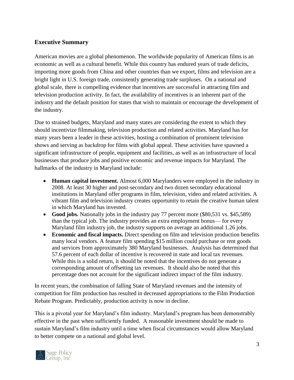## **Executive Summary**

American movies are a global phenomenon. The worldwide popularity of American films is an economic as well as a cultural benefit. While this country has endured years of trade deficits, importing more goods from China and other countries than we export, films and television are a bright light in U.S. foreign trade, consistently generating trade surpluses. On a national and global scale, there is compelling evidence that incentives are successful in attracting film and television production activity. In fact, the availability of incentives is an inherent part of the industry and the default position for states that wish to maintain or encourage the development of the industry.

Due to strained budgets, Maryland and many states are considering the extent to which they should incentivize filmmaking, television production and related activities. Maryland has for many years been a leader in these activities, hosting a combination of prominent television shows and serving as backdrop for films with global appeal. These activities have spawned a significant infrastructure of people, equipment and facilities, as well as an infrastructure of local businesses that produce jobs and positive economic and revenue impacts for Maryland. The hallmarks of the industry in Maryland include:

- **Human capital investment.** Almost 6,000 Marylanders were employed in the industry in 2008. At least 30 higher and post-secondary and two dozen secondary educational institutions in Maryland offer programs in film, television, video and related activities. A vibrant film and television industry creates opportunity to retain the creative human talent in which Maryland has invested.
- **Good jobs.** Nationally jobs in the industry pay 77 percent more (\$80,531 vs. \$45,589) than the typical job. The industry provides an extra employment bonus— for every Maryland film industry job, the industry supports on average an additional 1.26 jobs.
- **Economic and fiscal impacts.** Direct spending on film and television production benefits many local vendors. A feature film spending \$15 million could purchase or rent goods and services from approximately 380 Maryland businesses. Analysis has determined that 57.6 percent of each dollar of incentive is recovered in state and local tax revenues. While this is a solid return, it should be noted that the incentives do not generate a corresponding amount of offsetting tax revenues. It should also be noted that this percentage does not account for the significant indirect impact of the film industry.

In recent years, the combination of falling State of Maryland revenues and the intensity of competition for film production has resulted in decreased appropriations to the Film Production Rebate Program. Predictably, production activity is now in decline.

This is a pivotal year for Maryland's film industry. Maryland's program has been demonstrably effective in the past when sufficiently funded. A reasonable investment should be made to sustain Maryland's film industry until a time when fiscal circumstances would allow Maryland to better compete on a national and global level.

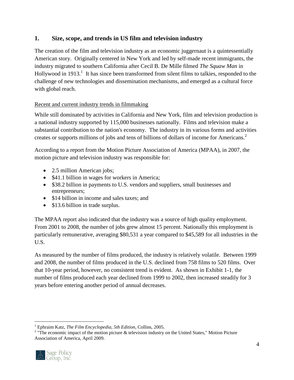# <span id="page-4-0"></span>**1. Size, scope, and trends in US film and television industry**

The creation of the film and television industry as an economic juggernaut is a quintessentially American story. Originally centered in New York and led by self-made recent immigrants, the industry migrated to southern California after Cecil B. De Mille filmed *The Squaw Man* in Hollywood in 1913.<sup>1</sup> It has since been transformed from silent films to talkies, responded to the challenge of new technologies and dissemination mechanisms, and emerged as a cultural force with global reach.

# <span id="page-4-1"></span>Recent and current industry trends in filmmaking

While still dominated by activities in California and New York, film and television production is a national industry supported by 115,000 businesses nationally. Films and television make a substantial contribution to the nation's economy. The industry in its various forms and activities creates or supports millions of jobs and tens of billions of dollars of income for Americans.<sup>2</sup>

According to a report from the Motion Picture Association of America (MPAA), in 2007, the motion picture and television industry was responsible for:

- 2.5 million American jobs;
- \$41.1 billion in wages for workers in America;
- \$38.2 billion in payments to U.S. vendors and suppliers, small businesses and entrepreneurs;
- \$14 billion in income and sales taxes; and
- \$13.6 billion in trade surplus.

The MPAA report also indicated that the industry was a source of high quality employment. From 2001 to 2008, the number of jobs grew almost 15 percent. Nationally this employment is particularly remunerative, averaging \$80,531 a year compared to \$45,589 for all industries in the U.S.

As measured by the number of films produced, the industry is relatively volatile. Between 1999 and 2008, the number of films produced in the U.S. declined from 758 films to 520 films. Over that 10-year period, however, no consistent trend is evident. As shown in Exhibit 1-1, the number of films produced each year declined from 1999 to 2002, then increased steadily for 3 years before entering another period of annual decreases.

<sup>&</sup>lt;sup>2</sup> "The economic impact of the motion picture & television industry on the United States," Motion Picture Association of America, April 2009.



 $\overline{a}$ 

<sup>1</sup> Ephraim Katz, *The Film Encyclopedia, 5th Edition*, Collins, 2005.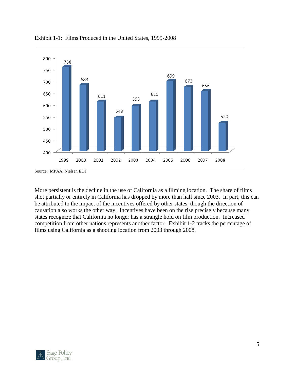

<span id="page-5-0"></span>Exhibit 1-1: Films Produced in the United States, 1999-2008

<span id="page-5-1"></span>More persistent is the decline in the use of California as a filming location. The share of films shot partially or entirely in California has dropped by more than half since 2003. In part, this can be attributed to the impact of the incentives offered by other states, though the direction of causation also works the other way. Incentives have been on the rise precisely because many states recognize that California no longer has a strangle hold on film production. Increased competition from other nations represents another factor. Exhibit 1-2 tracks the percentage of films using California as a shooting location from 2003 through 2008.

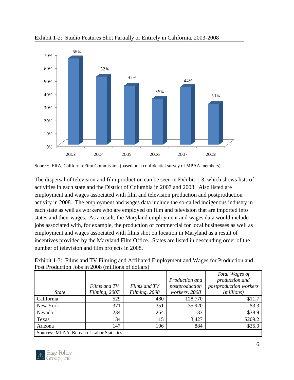

Exhibit 1-2: Studio Features Shot Partially or Entirely in California, 2003-2008

The dispersal of television and film production can be seen in Exhibit 1-3, which shows lists of activities in each state and the District of Columbia in 2007 and 2008. Also listed are employment and wages associated with film and television production and postproduction activity in 2008. The employment and wages data include the so-called indigenous industry in each state as well as workers who are employed on film and television that are imported into states and their wages. As a result, the Maryland employment and wages data would include jobs associated with, for example, the production of commercial for local businesses as well as employment and wages associated with films shot on location in Maryland as a result of incentives provided by the Maryland Film Office. States are listed in descending order of the number of television and film projects in 2008.

<span id="page-6-0"></span>

| Exhibit 1-3: Films and TV Filming and Affiliated Employment and Wages for Production and |  |  |  |  |  |
|------------------------------------------------------------------------------------------|--|--|--|--|--|
| Post Production Jobs in 2008 (millions of dollars)                                       |  |  |  |  |  |

|                                           |               |               |                | Total Wages of                |
|-------------------------------------------|---------------|---------------|----------------|-------------------------------|
|                                           |               |               | Production and | production and                |
|                                           | Films and TV  | Films and TV  | postproduction | <i>postproduction workers</i> |
| <i>State</i>                              | Filming, 2007 | Filming, 2008 | workers, 2008  | (millions)                    |
| California                                | 529           | 480           | 128,770        | \$11.7                        |
| New York                                  | 371           | 351           | 35,920         | \$3.3                         |
| Nevada                                    | 234           | 264           | 1,133          | \$38.9                        |
| Texas                                     | 134           | 115           | 3,427          | \$209.2                       |
| Arizona                                   | 147           | 106           | 884            | \$35.0                        |
| Sources: MPAA, Bureau of Labor Statistics |               |               |                |                               |



Source: ERA, California Film Commission (based on a confidential survey of MPAA members)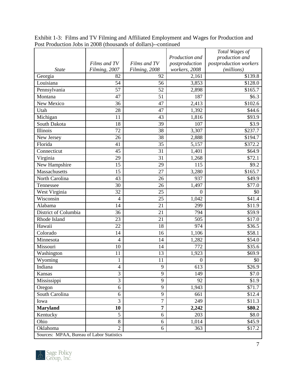|                                           |                |                |                  | Total Wages of         |
|-------------------------------------------|----------------|----------------|------------------|------------------------|
|                                           |                |                | Production and   | production and         |
|                                           | Films and TV   | Films and TV   | postproduction   | postproduction workers |
| <b>State</b>                              | Filming, 2007  | Filming, 2008  | workers, 2008    | (millions)             |
| Georgia                                   | 82             | 92             | 2,161            | \$139.8                |
| Louisiana                                 | 54             | 56             | 3,853            | \$128.0                |
| Pennsylvania                              | 57             | 52             | 2,898            | \$165.7                |
| Montana                                   | 47             | 51             | 187              | \$6.3                  |
| New Mexico                                | 36             | 47             | 2,413            | \$102.6                |
| Utah                                      | 28             | 47             | 1,392            | \$44.6                 |
| Michigan                                  | 11             | 43             | 1,816            | \$93.9                 |
| South Dakota                              | 18             | 39             | 107              | \$3.9                  |
| Illinois                                  | 72             | 38             | 3,307            | \$237.7                |
| New Jersey                                | 26             | 38             | 2,888            | \$194.7                |
| Florida                                   | 41             | 35             | 5,157            | \$372.2                |
| Connecticut                               | 45             | 31             | 1,401            | \$64.9                 |
| Virginia                                  | 29             | 31             | 1,268            | \$72.1                 |
| New Hampshire                             | 15             | 29             | 115              | \$9.2                  |
| Massachusetts                             | 15             | 27             | 3,280            | \$165.7                |
| North Carolina                            | 43             | 26             | 937              | \$49.9                 |
| Tennessee                                 | 30             | 26             | 1,497            | \$77.0                 |
| West Virginia                             | 32             | 25             | $\boldsymbol{0}$ | \$0                    |
| Wisconsin                                 | $\overline{4}$ | 25             | 1,042            | \$41.4                 |
| Alabama                                   | 14             | 21             | 299              | \$11.9                 |
| District of Columbia                      | 36             | 21             | 794              | \$59.9                 |
| Rhode Island                              | 23             | 21             | 505              | \$17.0                 |
| Hawaii                                    | 22             | 18             | 974              | \$36.5                 |
| Colorado                                  | 14             | 16             | 1,106            | \$58.1                 |
| Minnesota                                 | 4              | 14             | 1,282            | \$54.0                 |
| Missouri                                  | 10             | 14             | 772              | \$35.6                 |
| Washington                                | 11             | 13             | 1,923            | \$69.9                 |
| Wyoming                                   | $\mathbf{1}$   | 11             | $\boldsymbol{0}$ | \$0                    |
| Indiana                                   | $\overline{4}$ | 9              | 613              | \$26.9                 |
| Kansas                                    | $\overline{3}$ | 9              | 149              | \$7.0                  |
| Mississippi                               | 3              | 9              | 92               | \$1.9                  |
| Oregon                                    | 6              | 9              | 1,943            | \$71.7                 |
| South Carolina                            | 6              | 9              | 661              | \$12.4                 |
| Iowa                                      | $\overline{3}$ | $\overline{7}$ | 249              | \$11.3                 |
| <b>Maryland</b>                           | 10             | 7              | 2,242            | \$80.2                 |
| Kentucky                                  | 5              | 6              | 203              | \$8.0                  |
| Ohio                                      | $8\,$          | 6              | 1,014            | \$45.9                 |
| Oklahoma                                  | $\overline{2}$ | 6              | 363              | \$17.2                 |
| Sources: MPAA, Bureau of Labor Statistics |                |                |                  |                        |

Exhibit 1-3: Films and TV Filming and Affiliated Employment and Wages for Production and Post Production Jobs in 2008 (thousands of dollars)--continued

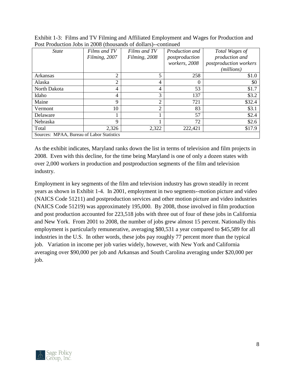| <b>State</b>                              | Films and TV   | Films and TV   | <i>Production and</i> | Total Wages of                |
|-------------------------------------------|----------------|----------------|-----------------------|-------------------------------|
|                                           | Filming, 2007  | Filming, 2008  | postproduction        | production and                |
|                                           |                |                | workers, 2008         | <i>postproduction workers</i> |
|                                           |                |                |                       | ( <i>millions</i> )           |
| Arkansas                                  | $\overline{2}$ | 5              | 258                   | \$1.0                         |
| Alaska                                    | $\overline{2}$ | 4              |                       | \$0                           |
| North Dakota                              | $\overline{4}$ | 4              | 53                    | \$1.7                         |
| Idaho                                     | 4              | 3              | 137                   | \$3.2                         |
| Maine                                     | 9              | $\overline{2}$ | 721                   | \$32.4                        |
| Vermont                                   | 10             | $\overline{2}$ | 83                    | \$3.1                         |
| Delaware                                  |                |                | 57                    | \$2.4                         |
| Nebraska                                  | 9              |                | 72                    | \$2.6                         |
| Total                                     | 2,326          | 2,322          | 222,421               | \$17.9                        |
| Sources: MPAA, Bureau of Labor Statistics |                |                |                       |                               |

Exhibit 1-3: Films and TV Filming and Affiliated Employment and Wages for Production and Post Production Jobs in 2008 (thousands of dollars)--continued

As the exhibit indicates, Maryland ranks down the list in terms of television and film projects in 2008. Even with this decline, for the time being Maryland is one of only a dozen states with over 2,000 workers in production and postproduction segments of the film and television industry.

Employment in key segments of the film and television industry has grown steadily in recent years as shown in Exhibit 1-4. In 2001, employment in two segments--motion picture and video (NAICS Code 51211) and postproduction services and other motion picture and video industries (NAICS Code 51219) was approximately 195,000. By 2008, those involved in film production and post production accounted for 223,518 jobs with three out of four of these jobs in California and New York. From 2001 to 2008, the number of jobs grew almost 15 percent. Nationally this employment is particularly remunerative, averaging \$80,531 a year compared to \$45,589 for all industries in the U.S. In other words, these jobs pay roughly 77 percent more than the typical job. Variation in income per job varies widely, however, with New York and California averaging over \$90,000 per job and Arkansas and South Carolina averaging under \$20,000 per job.

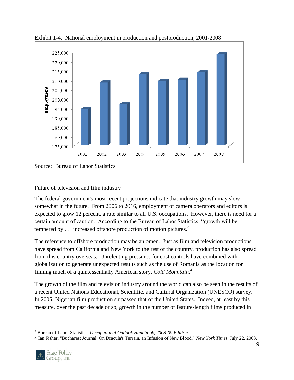

<span id="page-9-1"></span>Exhibit 1-4: National employment in production and postproduction, 2001-2008

Source: Bureau of Labor Statistics

#### <span id="page-9-0"></span>Future of television and film industry

The federal government's most recent projections indicate that industry growth may slow somewhat in the future. From 2006 to 2016, employment of camera operators and editors is expected to grow 12 percent, a rate similar to all U.S. occupations. However, there is need for a certain amount of caution. According to the Bureau of Labor Statistics, "growth will be tempered by  $\dots$  increased offshore production of motion pictures.<sup>3</sup>

The reference to offshore production may be an omen. Just as film and television productions have spread from California and New York to the rest of the country, production has also spread from this country overseas. Unrelenting pressures for cost controls have combined with globalization to generate unexpected results such as the use of Romania as the location for filming much of a quintessentially American story, *Cold Mountain*. 4

The growth of the film and television industry around the world can also be seen in the results of a recent United Nations Educational, Scientific, and Cultural Organization (UNESCO) survey. In 2005, Nigerian film production surpassed that of the United States. Indeed, at least by this measure, over the past decade or so, growth in the number of feature-length films produced in

<sup>4</sup> Ian Fisher, "Bucharest Journal: On Dracula's Terrain, an Infusion of New Blood," *New York Times*, July 22, 2003.



 $\overline{a}$ 

<sup>3</sup> Bureau of Labor Statistics, *Occupational Outlook Handbook, 2008-09 Edition.*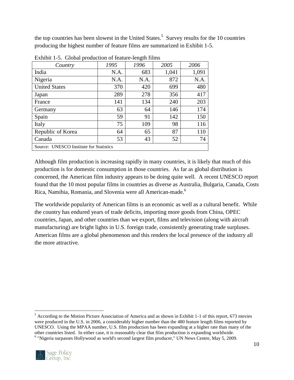the top countries has been slowest in the United States.<sup>5</sup> Survey results for the 10 countries producing the highest number of feature films are summarized in Exhibit 1-5.

| Country                                 | 1995 | 1996 | 2005  | 2006  |
|-----------------------------------------|------|------|-------|-------|
| India                                   | N.A. | 683  | 1,041 | 1,091 |
| Nigeria                                 | N.A. | N.A. | 872   | N.A.  |
| <b>United States</b>                    | 370  | 420  | 699   | 480   |
| Japan                                   | 289  | 278  | 356   | 417   |
| France                                  | 141  | 134  | 240   | 203   |
| Germany                                 | 63   | 64   | 146   | 174   |
| Spain                                   | 59   | 91   | 142   | 150   |
| Italy                                   | 75   | 109  | 98    | 116   |
| Republic of Korea                       | 64   | 65   | 87    | 110   |
| Canada                                  | 53   | 43   | 52    | 74    |
| Source: UNESCO Institute for Statistics |      |      |       |       |

<span id="page-10-0"></span>Exhibit 1-5. Global production of feature-length films

Although film production is increasing rapidly in many countries, it is likely that much of this production is for domestic consumption in those countries. As far as global distribution is concerned, the American film industry appears to be doing quite well. A recent UNESCO report found that the 10 most popular films in countries as diverse as Australia, Bulgaria, Canada, Costs Rica, Namibia, Romania, and Slovenia were all American-made.<sup>6</sup>

The worldwide popularity of American films is an economic as well as a cultural benefit. While the country has endured years of trade deficits, importing more goods from China, OPEC countries, Japan, and other countries than we export, films and television (along with aircraft manufacturing) are bright lights in U.S. foreign trade, consistently generating trade surpluses. American films are a global phenomenon and this renders the local presence of the industry all the more attractive.

<sup>&</sup>lt;sup>5</sup> According to the Motion Picture Association of America and as shown in Exhibit 1-1 of this report, 673 movies were produced in the U.S. in 2006, a considerably higher number than the 480 feature length films reported by UNESCO. Using the MPAA number, U.S. film production has been expanding at a higher rate than many of the other countries listed. In either case, it is reasonably clear that film production is expanding worldwide. <sup>6</sup> "Nigeria surpasses Hollywood as world's second largest film producer," UN News Centre, May 5, 2009.



 $\overline{a}$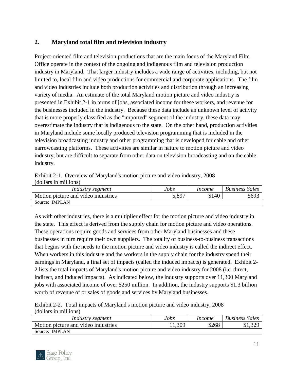# <span id="page-11-0"></span>**2. Maryland total film and television industry**

Project-oriented film and television productions that are the main focus of the Maryland Film Office operate in the context of the ongoing and indigenous film and television production industry in Maryland. That larger industry includes a wide range of activities, including, but not limited to, local film and video productions for commercial and corporate applications. The film and video industries include both production activities and distribution through an increasing variety of media. An estimate of the total Maryland motion picture and video industry is presented in Exhibit 2-1 in terms of jobs, associated income for these workers, and revenue for the businesses included in the industry. Because these data include an unknown level of activity that is more properly classified as the "imported" segment of the industry, these data may overestimate the industry that is indigenous to the state. On the other hand, production activities in Maryland include some locally produced television programming that is included in the television broadcasting industry and other programming that is developed for cable and other narrowcasting platforms. These activities are similar in nature to motion picture and video industry, but are difficult to separate from other data on television broadcasting and on the cable industry.

|                       | Exhibit 2-1. Overview of Maryland's motion picture and video industry, 2008 |  |
|-----------------------|-----------------------------------------------------------------------------|--|
| (dollars in millions) |                                                                             |  |

| Industry segment                    | Jobs  | Income | <b>Business Sales</b> |
|-------------------------------------|-------|--------|-----------------------|
| Motion picture and video industries | 5.897 | \$140  | \$693                 |
| Source: IMPLAN                      |       |        |                       |

As with other industries, there is a multiplier effect for the motion picture and video industry in the state. This effect is derived from the supply chain for motion picture and video operations. These operations require goods and services from other Maryland businesses and these businesses in turn require their own suppliers. The totality of business-to-business transactions that begins with the needs to the motion picture and video industry is called the indirect effect. When workers in this industry and the workers in the supply chain for the industry spend their earnings in Maryland, a final set of impacts (called the induced impacts) is generated. Exhibit 2- 2 lists the total impacts of Maryland's motion picture and video industry for 2008 (i.e. direct, indirect, and induced impacts). As indicated below, the industry supports over 11,300 Maryland jobs with associated income of over \$250 million. In addition, the industry supports \$1.3 billion worth of revenue of or sales of goods and services by Maryland businesses.

Exhibit 2-2. Total impacts of Maryland's motion picture and video industry, 2008 (dollars in millions)

| Industry segment                    | Jobs   | Income | <b>Business Sales</b> |
|-------------------------------------|--------|--------|-----------------------|
| Motion picture and video industries | 11,309 | \$268  | \$1,329               |
| Source: IMPLAN                      |        |        |                       |

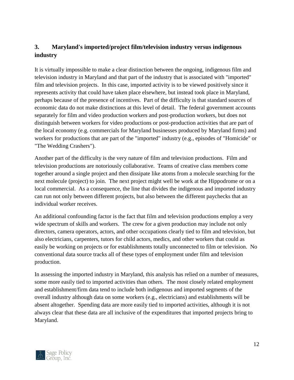# <span id="page-12-0"></span>**3. Maryland's imported/project film/television industry versus indigenous industry**

It is virtually impossible to make a clear distinction between the ongoing, indigenous film and television industry in Maryland and that part of the industry that is associated with "imported" film and television projects. In this case, imported activity is to be viewed positively since it represents activity that could have taken place elsewhere, but instead took place in Maryland, perhaps because of the presence of incentives. Part of the difficulty is that standard sources of economic data do not make distinctions at this level of detail. The federal government accounts separately for film and video production workers and post-production workers, but does not distinguish between workers for video productions or post-production activities that are part of the local economy (e.g. commercials for Maryland businesses produced by Maryland firms) and workers for productions that are part of the "imported" industry (e.g., episodes of "Homicide" or "The Wedding Crashers").

Another part of the difficulty is the very nature of film and television productions. Film and television productions are notoriously collaborative. Teams of creative class members come together around a single project and then dissipate like atoms from a molecule searching for the next molecule (project) to join. The next project might well be work at the Hippodrome or on a local commercial. As a consequence, the line that divides the indigenous and imported industry can run not only between different projects, but also between the different paychecks that an individual worker receives.

An additional confounding factor is the fact that film and television productions employ a very wide spectrum of skills and workers. The crew for a given production may include not only directors, camera operators, actors, and other occupations clearly tied to film and television, but also electricians, carpenters, tutors for child actors, medics, and other workers that could as easily be working on projects or for establishments totally unconnected to film or television. No conventional data source tracks all of these types of employment under film and television production.

In assessing the imported industry in Maryland, this analysis has relied on a number of measures, some more easily tied to imported activities than others. The most closely related employment and establishment/firm data tend to include both indigenous and imported segments of the overall industry although data on some workers (e.g., electricians) and establishments will be absent altogether. Spending data are more easily tied to imported activities, although it is not always clear that these data are all inclusive of the expenditures that imported projects bring to Maryland.

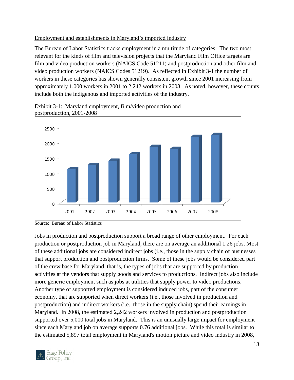#### <span id="page-13-0"></span>Employment and establishments in Maryland's imported industry

The Bureau of Labor Statistics tracks employment in a multitude of categories. The two most relevant for the kinds of film and television projects that the Maryland Film Office targets are film and video production workers (NAICS Code 51211) and postproduction and other film and video production workers (NAICS Codes 51219). As reflected in Exhibit 3-1 the number of workers in these categories has shown generally consistent growth since 2001 increasing from approximately 1,000 workers in 2001 to 2,242 workers in 2008. As noted, however, these counts include both the indigenous and imported activities of the industry.

<span id="page-13-2"></span>

<span id="page-13-1"></span>Exhibit 3-1: Maryland employment, film/video production and postproduction, 2001-2008

Jobs in production and postproduction support a broad range of other employment. For each production or postproduction job in Maryland, there are on average an additional 1.26 jobs. Most of these additional jobs are considered indirect jobs (i.e., those in the supply chain of businesses that support production and postproduction firms. Some of these jobs would be considered part of the crew base for Maryland, that is, the types of jobs that are supported by production activities at the vendors that supply goods and services to productions. Indirect jobs also include more generic employment such as jobs at utilities that supply power to video productions. Another type of supported employment is considered induced jobs, part of the consumer economy, that are supported when direct workers (i.e., those involved in production and postproduction) and indirect workers (i.e., those in the supply chain) spend their earnings in Maryland. In 2008, the estimated 2,242 workers involved in production and postproduction supported over 5,000 total jobs in Maryland. This is an unusually large impact for employment since each Maryland job on average supports 0.76 additional jobs. While this total is similar to the estimated 5,897 total employment in Maryland's motion picture and video industry in 2008,



Source: Bureau of Labor Statistics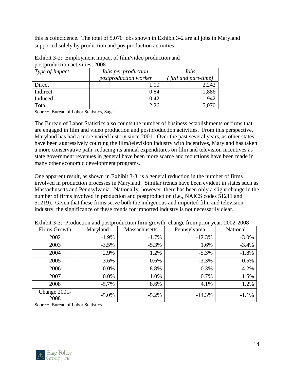this is coincidence. The total of 5,070 jobs shown in Exhibit 3-2 are all jobs in Maryland supported solely by production and postproduction activities.

<span id="page-14-1"></span>

| postproduction activities, 2000 |                              |                     |  |  |  |
|---------------------------------|------------------------------|---------------------|--|--|--|
| Type of Impact                  | Jobs per production,         | Jobs                |  |  |  |
|                                 | <i>postproduction worker</i> | full and part-time) |  |  |  |
| Direct                          | 1.00                         |                     |  |  |  |
| Indirect                        | 0.84                         | ,886                |  |  |  |
| Induced                         | 0.42                         | 942                 |  |  |  |
| Total                           | 2.26                         |                     |  |  |  |

<span id="page-14-0"></span>Exhibit 3-2: Employment impact of film/video production and postproduction activities, 2008

Source: Bureau of Labor Statistics, Sage

The Bureau of Labor Statistics also counts the number of business establishments or firms that are engaged in film and video production and postproduction activities. From this perspective, Maryland has had a more varied history since 2001. Over the past several years, as other states have been aggressively courting the film/television industry with incentives, Maryland has taken a more conservative path, reducing its annual expenditures on film and television incentives as state government revenues in general have been more scarce and reductions have been made in many other economic development programs.

One apparent result, as shown in Exhibit 3-3, is a general reduction in the number of firms involved in production processes in Maryland. Similar trends have been evident in states such as Massachusetts and Pennsylvania. Nationally, however, there has been only a slight change in the number of firms involved in production and postproduction (i.e., NAICS codes 51211 and 51219). Given that these firms serve both the indigenous and imported film and television industry, the significance of these trends for imported industry is not necessarily clear.

| Firms Growth         | Maryland | Massachusetts | Pennsylvania | National |
|----------------------|----------|---------------|--------------|----------|
| 2002                 | $-1.9\%$ | $-1.7\%$      | $-12.3%$     | $-3.0\%$ |
| 2003                 | $-3.5%$  | $-5.3\%$      | 1.6%         | $-3.4%$  |
| 2004                 | 2.9%     | 1.2%          | $-5.3\%$     | $-1.8%$  |
| 2005                 | 3.6%     | $0.6\%$       | $-3.3%$      | 0.5%     |
| 2006                 | $0.0\%$  | $-8.8\%$      | 0.3%         | 4.2%     |
| 2007                 | $0.0\%$  | 1.0%          | 0.7%         | 1.5%     |
| 2008                 | $-5.7\%$ | 8.6%          | 4.1%         | 1.2%     |
| Change 2001-<br>2008 | $-5.0\%$ | $-5.2\%$      | $-14.3%$     | $-1.1%$  |

<span id="page-14-2"></span>Exhibit 3-3: Production and postproduction firm growth, change from prior year, 2002-2008

Source: Bureau of Labor Statistics

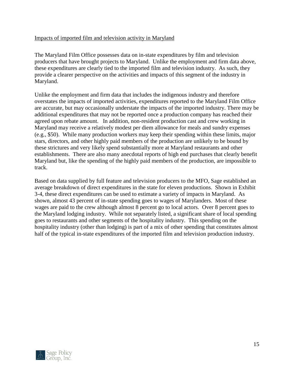#### <span id="page-15-0"></span>Impacts of imported film and television activity in Maryland

The Maryland Film Office possesses data on in-state expenditures by film and television producers that have brought projects to Maryland. Unlike the employment and firm data above, these expenditures are clearly tied to the imported film and television industry. As such, they provide a clearer perspective on the activities and impacts of this segment of the industry in Maryland.

Unlike the employment and firm data that includes the indigenous industry and therefore overstates the impacts of imported activities, expenditures reported to the Maryland Film Office are accurate, but may occasionally understate the impacts of the imported industry. There may be additional expenditures that may not be reported once a production company has reached their agreed upon rebate amount. In addition, non-resident production cast and crew working in Maryland may receive a relatively modest per diem allowance for meals and sundry expenses (e.g., \$50). While many production workers may keep their spending within these limits, major stars, directors, and other highly paid members of the production are unlikely to be bound by these strictures and very likely spend substantially more at Maryland restaurants and other establishments. There are also many anecdotal reports of high end purchases that clearly benefit Maryland but, like the spending of the highly paid members of the production, are impossible to track.

<span id="page-15-1"></span>Based on data supplied by full feature and television producers to the MFO, Sage established an average breakdown of direct expenditures in the state for eleven productions. Shown in Exhibit 3-4, these direct expenditures can be used to estimate a variety of impacts in Maryland. As shown, almost 43 percent of in-state spending goes to wages of Marylanders. Most of these wages are paid to the crew although almost 8 percent go to local actors. Over 8 percent goes to the Maryland lodging industry. While not separately listed, a significant share of local spending goes to restaurants and other segments of the hospitality industry. This spending on the hospitality industry (other than lodging) is part of a mix of other spending that constitutes almost half of the typical in-state expenditures of the imported film and television production industry.

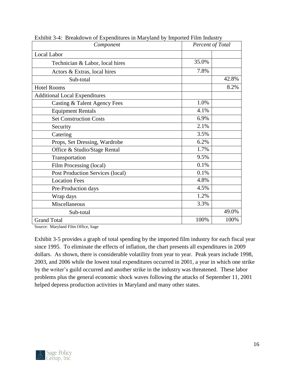| Component                            | Percent of Total |       |
|--------------------------------------|------------------|-------|
| Local Labor                          |                  |       |
| Technician & Labor, local hires      | 35.0%            |       |
| Actors & Extras, local hires         | 7.8%             |       |
| Sub-total                            |                  | 42.8% |
| <b>Hotel Rooms</b>                   |                  | 8.2%  |
| <b>Additional Local Expenditures</b> |                  |       |
| Casting & Talent Agency Fees         | 1.0%             |       |
| <b>Equipment Rentals</b>             | 4.1%             |       |
| <b>Set Construction Costs</b>        | 6.9%             |       |
| Security                             | 2.1%             |       |
| Catering                             | 3.5%             |       |
| Props, Set Dressing, Wardrobe        | 6.2%             |       |
| Office & Studio/Stage Rental         | 1.7%             |       |
| Transportation                       | 9.5%             |       |
| Film Processing (local)              | 0.1%             |       |
| Post Production Services (local)     | 0.1%             |       |
| <b>Location Fees</b>                 | 4.8%             |       |
| Pre-Production days                  | 4.5%             |       |
| Wrap days                            | 1.2%             |       |
| Miscellaneous                        | 3.3%             |       |
| Sub-total                            |                  | 49.0% |
| <b>Grand Total</b>                   | 100%             | 100%  |

Exhibit 3-4: Breakdown of Expenditures in Maryland by Imported Film Industry

Source: Maryland Film Office, Sage

Exhibit 3-5 provides a graph of total spending by the imported film industry for each fiscal year since 1995. To eliminate the effects of inflation, the chart presents all expenditures in 2009 dollars. As shown, there is considerable volatility from year to year. Peak years include 1998, 2003, and 2006 while the lowest total expenditures occurred in 2001, a year in which one strike by the writer's guild occurred and another strike in the industry was threatened. These labor problems plus the general economic shock waves following the attacks of September 11, 2001 helped depress production activities in Maryland and many other states.

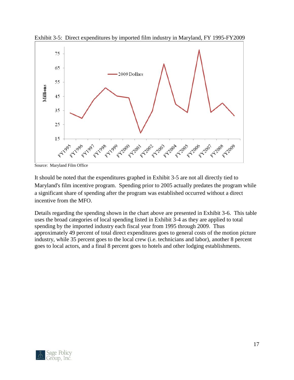

<span id="page-17-0"></span>Exhibit 3-5: Direct expenditures by imported film industry in Maryland, FY 1995-FY2009

Source: Maryland Film Office

It should be noted that the expenditures graphed in Exhibit 3-5 are not all directly tied to Maryland's film incentive program. Spending prior to 2005 actually predates the program while a significant share of spending after the program was established occurred without a direct incentive from the MFO.

Details regarding the spending shown in the chart above are presented in Exhibit 3-6. This table uses the broad categories of local spending listed in Exhibit 3-4 as they are applied to total spending by the imported industry each fiscal year from 1995 through 2009. Thus approximately 49 percent of total direct expenditures goes to general costs of the motion picture industry, while 35 percent goes to the local crew (i.e. technicians and labor), another 8 percent goes to local actors, and a final 8 percent goes to hotels and other lodging establishments.

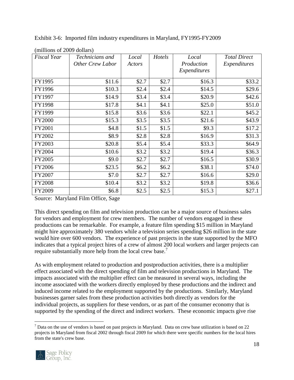| <b>Fiscal Year</b> | Technicians and<br><b>Other Crew Labor</b> | Local<br>Actors | Hotels  | Local<br>Production | <b>Total Direct</b><br>Expenditures |
|--------------------|--------------------------------------------|-----------------|---------|---------------------|-------------------------------------|
|                    |                                            |                 |         | Expenditures        |                                     |
| FY1995             | \$11.6                                     | \$2.7           | \$2.7   | \$16.3              | \$33.2                              |
| FY1996             | \$10.3                                     | \$2.4           | \$2.4   | \$14.5              | \$29.6                              |
| FY1997             | \$14.9                                     | \$3.4           | \$3.4   | \$20.9              | \$42.6                              |
| FY1998             | \$17.8                                     | \$4.1           | \$4.1   | \$25.0              | \$51.0                              |
| FY1999             | \$15.8                                     | \$3.6           | \$3.6   | \$22.1              | \$45.2                              |
| <b>FY2000</b>      | \$15.3                                     | \$3.5           | \$3.5   | \$21.6              | \$43.9                              |
| FY2001             | \$4.8\$                                    | \$1.5           | \$1.5   | \$9.3               | \$17.2                              |
| FY2002             | \$8.9                                      | \$2.8           | \$2.8   | \$16.9              | \$31.3                              |
| FY2003             | \$20.8                                     | \$5.4           | \$5.4   | \$33.3              | \$64.9                              |
| FY2004             | \$10.6                                     | \$3.2           | \$3.2   | \$19.4              | \$36.3                              |
| FY2005             | \$9.0                                      | \$2.7           | \$2.7   | \$16.5              | \$30.9                              |
| <b>FY2006</b>      | \$23.5                                     | \$6.2           | \$6.2\$ | \$38.1              | \$74.0                              |
| FY2007             | \$7.0                                      | \$2.7           | \$2.7   | \$16.6              | \$29.0                              |
| FY2008             | \$10.4                                     | \$3.2           | \$3.2   | \$19.8              | \$36.6                              |
| FY2009             | \$6.8                                      | \$2.5           | \$2.5   | \$15.3              | \$27.1                              |

<span id="page-18-0"></span>Exhibit 3-6: Imported film industry expenditures in Maryland, FY1995-FY2009

<span id="page-18-1"></span>(millions of 2009 dollars)

Source: Maryland Film Office, Sage

This direct spending on film and television production can be a major source of business sales for vendors and employment for crew members. The number of vendors engaged in these productions can be remarkable. For example, a feature film spending \$15 million in Maryland might hire approximately 380 vendors while a television series spending \$26 million in the state would hire over 600 vendors. The experience of past projects in the state supported by the MFO indicates that a typical project hires of a crew of almost 200 local workers and larger projects can require substantially more help from the local crew base.<sup>7</sup>

As with employment related to production and postproduction activities, there is a multiplier effect associated with the direct spending of film and television productions in Maryland. The impacts associated with the multiplier effect can be measured in several ways, including the income associated with the workers directly employed by these productions and the indirect and induced income related to the employment supported by the productions. Similarly, Maryland businesses garner sales from these production activities both directly as vendors for the individual projects, as suppliers for these vendors, or as part of the consumer economy that is supported by the spending of the direct and indirect workers. These economic impacts give rise

 $<sup>7</sup>$  Data on the use of vendors is based on past projects in Maryland. Data on crew base utilization is based on 22</sup> projects in Maryland from fiscal 2002 through fiscal 2009 for which there were specific numbers for the local hires from the state's crew base.



 $\overline{a}$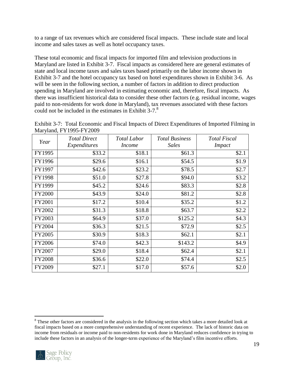to a range of tax revenues which are considered fiscal impacts. These include state and local income and sales taxes as well as hotel occupancy taxes.

These total economic and fiscal impacts for imported film and television productions in Maryland are listed in Exhibit 3-7. Fiscal impacts as considered here are general estimates of state and local income taxes and sales taxes based primarily on the labor income shown in Exhibit 3-7 and the hotel occupancy tax based on hotel expenditures shown in Exhibit 3-6. As will be seen in the following section, a number of factors in addition to direct production spending in Maryland are involved in estimating economic and, therefore, fiscal impacts. As there was insufficient historical data to consider these other factors (e.g. residual income, wages paid to non-residents for work done in Maryland), tax revenues associated with these factors could not be included in the estimates in Exhibit 3-7.<sup>8</sup>

<span id="page-19-0"></span>

| Exhibit 3-7: Total Economic and Fiscal Impacts of Direct Expenditures of Imported Filming in |  |  |  |
|----------------------------------------------------------------------------------------------|--|--|--|
| Maryland, FY1995-FY2009                                                                      |  |  |  |

| Year          | <b>Total Direct</b><br>Expenditures | <b>Total Labor</b><br><i>Income</i> | <b>Total Business</b><br><b>Sales</b> | <b>Total Fiscal</b><br><b>Impact</b> |
|---------------|-------------------------------------|-------------------------------------|---------------------------------------|--------------------------------------|
| FY1995        | \$33.2                              | \$18.1                              | \$61.3                                | \$2.1                                |
| FY1996        | \$29.6                              | \$16.1                              | \$54.5                                | \$1.9                                |
| FY1997        | \$42.6                              | \$23.2                              | \$78.5                                | \$2.7                                |
| FY1998        | \$51.0                              | \$27.8                              | \$94.0                                | \$3.2                                |
| FY1999        | \$45.2\$                            | \$24.6                              | \$83.3                                | \$2.8                                |
| <b>FY2000</b> | \$43.9                              | \$24.0                              | \$81.2                                | \$2.8                                |
| FY2001        | \$17.2                              | \$10.4                              | \$35.2                                | \$1.2                                |
| FY2002        | \$31.3                              | \$18.8                              | \$63.7                                | \$2.2                                |
| FY2003        | \$64.9                              | \$37.0                              | \$125.2                               | \$4.3                                |
| <b>FY2004</b> | \$36.3                              | \$21.5                              | \$72.9                                | \$2.5                                |
| FY2005        | \$30.9                              | \$18.3                              | \$62.1                                | \$2.1                                |
| FY2006        | \$74.0                              | \$42.3\$                            | \$143.2                               | \$4.9                                |
| FY2007        | \$29.0                              | \$18.4                              | \$62.4                                | \$2.1                                |
| <b>FY2008</b> | \$36.6                              | \$22.0                              | \$74.4                                | \$2.5                                |
| FY2009        | \$27.1                              | \$17.0                              | \$57.6                                | \$2.0                                |

 $\overline{a}$ <sup>8</sup> These other factors are considered in the analysis in the following section which takes a more detailed look at fiscal impacts based on a more comprehensive understanding of recent experience. The lack of historic data on income from residuals or income paid to non-residents for work done in Maryland reduces confidence in trying to include these factors in an analysis of the longer-term experience of the Maryland's film incentive efforts.

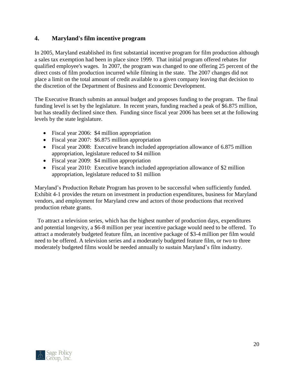# <span id="page-20-0"></span>**4. Maryland's film incentive program**

In 2005, Maryland established its first substantial incentive program for film production although a sales tax exemption had been in place since 1999. That initial program offered rebates for qualified employee's wages. In 2007, the program was changed to one offering 25 percent of the direct costs of film production incurred while filming in the state. The 2007 changes did not place a limit on the total amount of credit available to a given company leaving that decision to the discretion of the Department of Business and Economic Development.

The Executive Branch submits an annual budget and proposes funding to the program. The final funding level is set by the legislature. In recent years, funding reached a peak of \$6.875 million, but has steadily declined since then. Funding since fiscal year 2006 has been set at the following levels by the state legislature.

- Fiscal year 2006: \$4 million appropriation
- Fiscal year 2007: \$6.875 million appropriation
- Fiscal year 2008: Executive branch included appropriation allowance of 6.875 million appropriation, legislature reduced to \$4 million
- Fiscal year 2009: \$4 million appropriation
- Fiscal year 2010: Executive branch included appropriation allowance of \$2 million appropriation, legislature reduced to \$1 million

Maryland's Production Rebate Program has proven to be successful when sufficiently funded. Exhibit 4-1 provides the return on investment in production expenditures, business for Maryland vendors, and employment for Maryland crew and actors of those productions that received production rebate grants.

 To attract a television series, which has the highest number of production days, expenditures and potential longevity, a \$6-8 million per year incentive package would need to be offered. To attract a moderately budgeted feature film, an incentive package of \$3-4 million per film would need to be offered. A television series and a moderately budgeted feature film, or two to three moderately budgeted films would be needed annually to sustain Maryland's film industry.

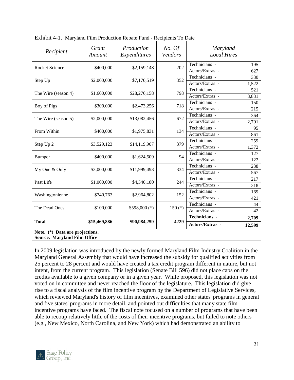| Recipient                                                              | Grant<br>Amount | Production<br>Expenditures | No. Of<br>Vendors | Maryland<br><b>Local Hires</b> |        |
|------------------------------------------------------------------------|-----------------|----------------------------|-------------------|--------------------------------|--------|
|                                                                        |                 |                            |                   | Technicians -                  | 195    |
| <b>Rocket Science</b>                                                  | \$400,000       | \$2,159,148                | 202               | Actors/Extras -                | 627    |
| Step Up                                                                | \$2,000,000     | \$7,170,519                | 352               | Technicians -                  | 330    |
|                                                                        |                 |                            |                   | Actors/Extras -                | 1,522  |
| The Wire (season 4)                                                    | \$1,600,000     | \$28,276,158               | 798               | Technicians -                  | 521    |
|                                                                        |                 |                            |                   | Actors/Extras -                | 3,831  |
| Boy of Pigs                                                            | \$300,000       | \$2,473,256                | 718               | Technicians -                  | 150    |
|                                                                        |                 |                            |                   | Actors/Extras -                | 215    |
| The Wire (season 5)                                                    | \$2,000,000     | \$13,082,456               | 672               | Technicians -                  | 364    |
|                                                                        |                 |                            |                   | Actors/Extras -                | 2,701  |
| From Within                                                            | \$400,000       | \$1,975,831                | 134               | Technicians -                  | 95     |
|                                                                        |                 |                            |                   | Actors/Extras -                | 861    |
| Step Up 2                                                              | \$3,529,123     | \$14,119,907               | 379               | Technicians -                  | 259    |
|                                                                        |                 |                            |                   | Actors/Extras -                | 1,372  |
| <b>Bumper</b>                                                          | \$400,000       | \$1,624,509                | 94                | Technicians -                  | 127    |
|                                                                        |                 |                            |                   | Actors/Extras -                | 122    |
| My One & Only                                                          | \$3,000,000     | \$11,999,493               | 334               | Technicians -                  | 238    |
|                                                                        |                 |                            |                   | Actors/Extras -                | 567    |
| Past Life                                                              | \$1,000,000     | \$4,540,180                | 244               | Technicians -                  | 217    |
|                                                                        |                 |                            |                   | Actors/Extras -                | 318    |
| Washingtonienne                                                        | \$740,763       | \$2,964,802                | 152               | Technicians -                  | 169    |
|                                                                        |                 |                            |                   | Actors/Extras -                | 421    |
| The Dead Ones                                                          | \$100,000       | $$598,000 (*)$             | 150 $(*)$         | Technicians -                  | 44     |
|                                                                        |                 |                            |                   | Actors/Extras -                | 42     |
|                                                                        |                 |                            |                   | Technicians -                  | 2,709  |
| <b>Total</b>                                                           | \$15,469,886    | \$90,984,259               | 4229              | Actors/Extras -                | 12,599 |
| Note. (*) Data are projections.<br><b>Source. Maryland Film Office</b> |                 |                            |                   |                                |        |

Exhibit 4-1. Maryland Film Production Rebate Fund - Recipients To Date

In 2009 legislation was introduced by the newly formed Maryland Film Industry Coalition in the Maryland General Assembly that would have increased the subsidy for qualified activities from 25 percent to 28 percent and would have created a tax credit program different in nature, but not intent, from the current program. This legislation (Senate Bill 596) did not place caps on the credits available to a given company or in a given year. While proposed, this legislation was not voted on in committee and never reached the floor of the legislature. This legislation did give rise to a fiscal analysis of the film incentive program by the Department of Legislative Services, which reviewed Maryland's history of film incentives, examined other states' programs in general and five states' programs in more detail, and pointed out difficulties that many state film incentive programs have faced. The fiscal note focused on a number of programs that have been able to recoup relatively little of the costs of their incentive programs, but failed to note others (e.g., New Mexico, North Carolina, and New York) which had demonstrated an ability to

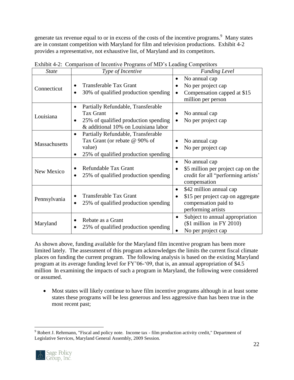generate tax revenue equal to or in excess of the costs of the incentive programs.<sup>9</sup> Many states are in constant competition with Maryland for film and television productions. Exhibit 4-2 provides a representative, not exhaustive list, of Maryland and its competitors.

| <b>State</b>  | $\ldots$ comparison of meetings frograms of the s-leading competitors<br>Type of Incentive                                                         | <b>Funding Level</b>                                                                                                    |
|---------------|----------------------------------------------------------------------------------------------------------------------------------------------------|-------------------------------------------------------------------------------------------------------------------------|
| Connecticut   | <b>Transferable Tax Grant</b><br>30% of qualified production spending                                                                              | No annual cap<br>$\bullet$<br>No per project cap<br>Compensation capped at \$15<br>million per person                   |
| Louisiana     | Partially Refundable, Transferable<br>$\bullet$<br><b>Tax Grant</b><br>25% of qualified production spending<br>& additional 10% on Louisiana labor | No annual cap<br>No per project cap                                                                                     |
| Massachusetts | Partially Refundable, Transferable<br>$\bullet$<br>Tax Grant (or rebate @ 90% of<br>value)<br>25% of qualified production spending                 | No annual cap<br>No per project cap                                                                                     |
| New Mexico    | Refundable Tax Grant<br>25% of qualified production spending<br>$\bullet$                                                                          | No annual cap<br>$\bullet$<br>\$5 million per project cap on the<br>credit for all "performing artists"<br>compensation |
| Pennsylvania  | <b>Transferable Tax Grant</b><br>25% of qualified production spending<br>$\bullet$                                                                 | \$42 million annual cap<br>\$15 per project cap on aggregate<br>compensation paid to<br>performing artists              |
| Maryland      | Rebate as a Grant<br>٠<br>25% of qualified production spending                                                                                     | Subject to annual appropriation<br>$$1$ million in FY 2010)<br>No per project cap                                       |

<span id="page-22-0"></span>Exhibit 4-2: Comparison of Incentive Programs of MD's Leading Competitors

As shown above, funding available for the Maryland film incentive program has been more limited lately. The assessment of this program acknowledges the limits the current fiscal climate places on funding the current program. The following analysis is based on the existing Maryland program at its average funding level for FY'06-'09, that is, an annual appropriation of \$4.5 million In examining the impacts of such a program in Maryland, the following were considered or assumed.

 Most states will likely continue to have film incentive programs although in at least some states these programs will be less generous and less aggressive than has been true in the most recent past;

 $\overline{a}$ <sup>9</sup> Robert J. Rehrmann, "Fiscal and policy note. Income tax - film production activity credit," Department of Legislative Services, Maryland General Assembly, 2009 Session.

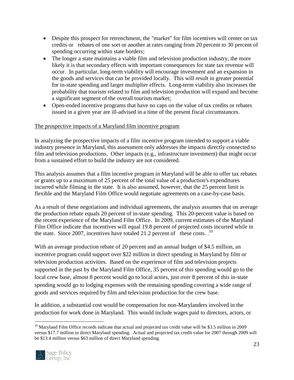- Despite this prospect for retrenchment, the "market" for film incentives will center on tax credits or rebates of one sort or another at rates ranging from 20 percent to 30 percent of spending occurring within state borders;
- The longer a state maintains a viable film and television production industry, the more likely it is that secondary effects with important consequences for state tax revenue will occur. In particular, long-term viability will encourage investment and an expansion in the goods and services that can be provided locally. This will result in greater potential for in-state spending and larger multiplier effects. Long-term viability also increases the probability that tourism related to film and television production will expand and become a significant segment of the overall tourism market;
- Open-ended incentive programs that have no caps on the value of tax credits or rebates issued in a given year are ill-advised in a time of the present fiscal circumstances.

#### <span id="page-23-0"></span>The prospective impacts of a Maryland film incentive program

In analyzing the prospective impacts of a film incentive program intended to support a viable industry presence in Maryland, this assessment only addresses the impacts directly connected to film and television productions. Other impacts (e.g., infrastructure investment) that might occur from a sustained effort to build the industry are not considered.

This analysis assumes that a film incentive program in Maryland will be able to offer tax rebates or grants up to a maximum of 25 percent of the total value of a production's expenditures incurred while filming in the state. It is also assumed, however, that the 25 percent limit is flexible and the Maryland Film Office would negotiate agreements on a case-by-case basis.

As a result of these negotiations and individual agreements, the analysis assumes that on average the production rebate equals 20 percent of in-state spending. This 20-percent value is based on the recent experience of the Maryland Film Office. In 2009, current estimates of the Maryland Film Office indicate that incentives will equal 19.8 percent of projected costs incurred while in the state. Since 2007, incentives have totaled 21.2 percent of these costs.  $10$ 

With an average production rebate of 20 percent and an annual budget of \$4.5 million, an incentive program could support over \$22 million in direct spending in Maryland by film or television production activities. Based on the experience of film and television projects supported in the past by the Maryland Film Office, 35 percent of this spending would go to the local crew base, almost 8 percent would go to local actors, just over 8 percent of this in-state spending would go to lodging expenses with the remaining spending covering a wide range of goods and services required by film and television production for the crew base.

In addition, a substantial cost would be compensation for non-Marylanders involved in the production for work done in Maryland. This would include wages paid to directors, actors, or

 $10$  Maryland Film Office records indicate that actual and projected tax credit value will be \$3.5 million in 2009 versus \$17.7 million in direct Maryland spending. Actual and projected tax credit value for 2007 through 2009 will be \$13.4 million versus \$63 million of direct Maryland spending.



 $\overline{a}$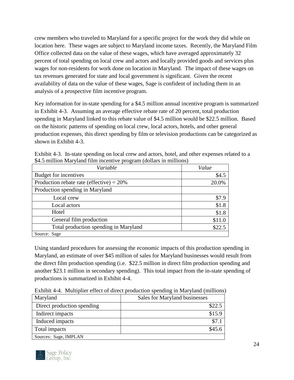crew members who traveled to Maryland for a specific project for the work they did while on location here. These wages are subject to Maryland income taxes. Recently, the Maryland Film Office collected data on the value of these wages, which have averaged approximately 32 percent of total spending on local crew and actors and locally provided goods and services plus wages for non-residents for work done on location in Maryland. The impact of these wages on tax revenues generated for state and local government is significant. Given the recent availability of data on the value of these wages, Sage is confident of including them in an analysis of a prospective film incentive program.

Key information for in-state spending for a \$4.5 million annual incentive program is summarized in Exhibit 4-3. Assuming an average effective rebate rate of 20 percent, total production spending in Maryland linked to this rebate value of \$4.5 million would be \$22.5 million. Based on the historic patterns of spending on local crew, local actors, hotels, and other general production expenses, this direct spending by film or television productions can be categorized as shown in Exhibit 4-3.

| Variable                                    | Value  |
|---------------------------------------------|--------|
| Budget for incentives                       | \$4.5  |
| Production rebate rate (effective) = $20\%$ | 20.0%  |
| Production spending in Maryland             |        |
| Local crew                                  | \$7.9  |
| Local actors                                | \$1.8  |
| Hotel                                       | \$1.8  |
| General film production                     | \$11.0 |
| Total production spending in Maryland       | \$22.5 |
| Source: Sage                                |        |

| Exhibit 4-3. In-state spending on local crew and actors, hotel, and other expenses related to a |  |
|-------------------------------------------------------------------------------------------------|--|
| \$4.5 million Maryland film incentive program (dollars in millions)                             |  |

Using standard procedures for assessing the economic impacts of this production spending in Maryland, an estimate of over \$45 million of sales for Maryland businesses would result from the direct film production spending (i.e. \$22.5 million in direct film production spending and another \$23.1 million in secondary spending). This total impact from the in-state spending of productions is summarized in Exhibit 4-4.

Exhibit 4-4. Multiplier effect of direct production spending in Maryland (millions)

| Maryland                   | Sales for Maryland businesses |
|----------------------------|-------------------------------|
| Direct production spending | \$22.5                        |
| Indirect impacts           | \$15.9                        |
| Induced impacts            |                               |
| Total impacts              | \$45.6                        |
| Sources: Sage, IMPLAN      |                               |

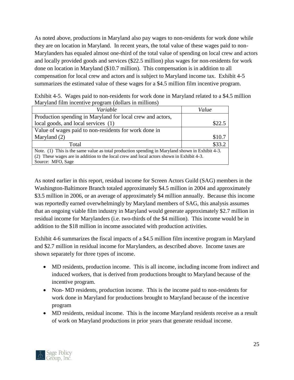As noted above, productions in Maryland also pay wages to non-residents for work done while they are on location in Maryland. In recent years, the total value of these wages paid to non-Marylanders has equaled almost one-third of the total value of spending on local crew and actors and locally provided goods and services (\$22.5 million) plus wages for non-residents for work done on location in Maryland (\$10.7 million). This compensation is in addition to all compensation for local crew and actors and is subject to Maryland income tax. Exhibit 4-5 summarizes the estimated value of these wages for a \$4.5 million film incentive program.

| Exhibit 4-5. Wages paid to non-residents for work done in Maryland related to a \$4.5 million |
|-----------------------------------------------------------------------------------------------|
| Maryland film incentive program (dollars in millions)                                         |

| Variable                                                                                        | Value  |  |
|-------------------------------------------------------------------------------------------------|--------|--|
| Production spending in Maryland for local crew and actors,                                      |        |  |
| local goods, and local services (1)                                                             | \$22.5 |  |
| Value of wages paid to non-residents for work done in                                           |        |  |
| Maryland (2)                                                                                    | \$10.7 |  |
| Total                                                                                           | \$33.2 |  |
| Note. (1) This is the same value as total production spending in Maryland shown in Exhibit 4-3. |        |  |
| (2) These wages are in addition to the local crew and local actors shown in Exhibit 4-3.        |        |  |
| Source: MFO, Sage                                                                               |        |  |

As noted earlier in this report, residual income for Screen Actors Guild (SAG) members in the Washington-Baltimore Branch totaled approximately \$4.5 million in 2004 and approximately \$3.5 million in 2006, or an average of approximately \$4 million annually. Because this income was reportedly earned overwhelmingly by Maryland members of SAG, this analysis assumes that an ongoing viable film industry in Maryland would generate approximately \$2.7 million in residual income for Marylanders (i.e. two-thirds of the \$4 million). This income would be in addition to the \$18 million in income associated with production activities.

Exhibit 4-6 summarizes the fiscal impacts of a \$4.5 million film incentive program in Maryland and \$2.7 million in residual income for Marylanders, as described above. Income taxes are shown separately for three types of income.

- MD residents, production income. This is all income, including income from indirect and induced workers, that is derived from productions brought to Maryland because of the incentive program.
- Non- MD residents, production income. This is the income paid to non-residents for work done in Maryland for productions brought to Maryland because of the incentive program
- MD residents, residual income. This is the income Maryland residents receive as a result of work on Maryland productions in prior years that generate residual income.

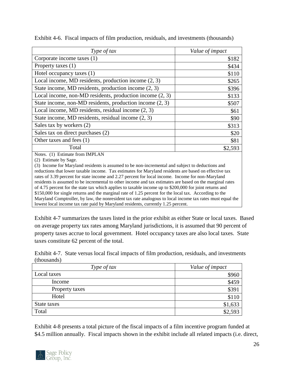| Type of tax                                                                                                                                                                                                                                                              | Value of impact |
|--------------------------------------------------------------------------------------------------------------------------------------------------------------------------------------------------------------------------------------------------------------------------|-----------------|
| Corporate income taxes (1)                                                                                                                                                                                                                                               | \$182           |
| Property taxes (1)                                                                                                                                                                                                                                                       | \$434           |
| Hotel occupancy taxes (1)                                                                                                                                                                                                                                                | \$110           |
| Local income, MD residents, production income $(2, 3)$                                                                                                                                                                                                                   | \$265           |
| State income, MD residents, production income (2, 3)                                                                                                                                                                                                                     | \$396           |
| Local income, non-MD residents, production income $(2, 3)$                                                                                                                                                                                                               | \$133           |
| State income, non-MD residents, production income (2, 3)                                                                                                                                                                                                                 | \$507           |
| Local income, MD residents, residual income $(2, 3)$                                                                                                                                                                                                                     | \$61            |
| State income, MD residents, residual income $(2, 3)$                                                                                                                                                                                                                     | \$90            |
| Sales tax by workers (2)                                                                                                                                                                                                                                                 | \$313           |
| Sales tax on direct purchases (2)                                                                                                                                                                                                                                        | \$20            |
| Other taxes and fees (1)                                                                                                                                                                                                                                                 | \$81            |
| Total                                                                                                                                                                                                                                                                    | \$2,593         |
| Notes. (1) Estimate from IMPLAN<br>(2) Estimate by Sage.<br>Income for Maryland residents is assumed to be non-incremental and subject to deductions and<br>(3)<br>reductions that lower taxable income. Tax estimates for Maryland residents are based on effective tax |                 |

Exhibit 4-6. Fiscal impacts of film production, residuals, and investments (thousands)

reductions that lower taxable income. Tax estimates for Maryland residents are based on effective tax rates of 3.39 percent for state income and 2.27 percent for local income. Income for non-Maryland residents is assumed to be incremental to other income and tax estimates are based on the marginal rates of 4.75 percent for the state tax which applies to taxable income up to \$200,000 for joint returns and \$150,000 for single returns and the marginal rate of 1.25 percent for the local tax. According to the Maryland Comptroller, by law, the nonresident tax rate analogous to local income tax rates must equal the lowest local income tax rate paid by Maryland residents, currently 1.25 percent.

Exhibit 4-7 summarizes the taxes listed in the prior exhibit as either State or local taxes. Based on average property tax rates among Maryland jurisdictions, it is assumed that 90 percent of property taxes accrue to local government. Hotel occupancy taxes are also local taxes. State taxes constitute 62 percent of the total.

<span id="page-26-1"></span>Exhibit 4-7. State versus local fiscal impacts of film production, residuals, and investments (thousands)

| Type of tax    | Value of impact |
|----------------|-----------------|
| Local taxes    | \$960           |
| Income         | \$459           |
| Property taxes | \$391           |
| Hotel          | \$110           |
| State taxes    | \$1,633         |
| Total          | \$2,593         |

<span id="page-26-0"></span>Exhibit 4-8 presents a total picture of the fiscal impacts of a film incentive program funded at \$4.5 million annually. Fiscal impacts shown in the exhibit include all related impacts (i.e. direct,

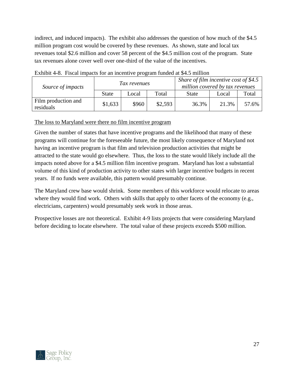indirect, and induced impacts). The exhibit also addresses the question of how much of the \$4.5 million program cost would be covered by these revenues. As shown, state and local tax revenues total \$2.6 million and cover 58 percent of the \$4.5 million cost of the program. State tax revenues alone cover well over one-third of the value of the incentives.

| Source of impacts                | Tax revenues |       |         | Share of film incentive cost of \$4.5<br>million covered by tax revenues |       |       |
|----------------------------------|--------------|-------|---------|--------------------------------------------------------------------------|-------|-------|
|                                  | <b>State</b> | Local | Total   | <b>State</b>                                                             | Local | Total |
| Film production and<br>residuals | \$1,633      | \$960 | \$2,593 | 36.3%                                                                    | 21.3% | 57.6% |

<span id="page-27-0"></span>Exhibit 4-8. Fiscal impacts for an incentive program funded at \$4.5 million

#### The loss to Maryland were there no film incentive program

Given the number of states that have incentive programs and the likelihood that many of these programs will continue for the foreseeable future, the most likely consequence of Maryland not having an incentive program is that film and television production activities that might be attracted to the state would go elsewhere. Thus, the loss to the state would likely include all the impacts noted above for a \$4.5 million film incentive program. Maryland has lost a substantial volume of this kind of production activity to other states with larger incentive budgets in recent years. If no funds were available, this pattern would presumably continue.

The Maryland crew base would shrink. Some members of this workforce would relocate to areas where they would find work. Others with skills that apply to other facets of the economy (e.g., electricians, carpenters) would presumably seek work in those areas.

<span id="page-27-1"></span>Prospective losses are not theoretical. Exhibit 4-9 lists projects that were considering Maryland before deciding to locate elsewhere. The total value of these projects exceeds \$500 million.

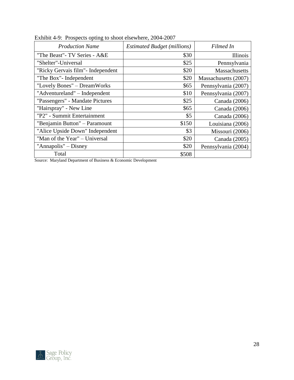| <b>Production Name</b>             | <b>Estimated Budget (millions)</b> | Filmed In            |
|------------------------------------|------------------------------------|----------------------|
| "The Beast"- TV Series - A&E       | \$30                               | Illinois             |
| "Shelter"-Universal                | \$25                               | Pennsylvania         |
| "Ricky Gervais film" - Independent | \$20                               | <b>Massachusetts</b> |
| "The Box"- Independent             | \$20                               | Massachusetts (2007) |
| "Lovely Bones" – DreamWorks        | \$65                               | Pennsylvania (2007)  |
| "Adventureland" – Independent      | \$10                               | Pennsylvania (2007)  |
| "Passengers" - Mandate Pictures    | \$25                               | Canada (2006)        |
| "Hairspray" - New Line             | \$65                               | Canada (2006)        |
| "P2" - Summit Entertainment        | \$5                                | Canada (2006)        |
| "Benjamin Button" - Paramount      | \$150                              | Louisiana (2006)     |
| "Alice Upside Down" Independent    | \$3                                | Missouri (2006)      |
| "Man of the Year" – Universal      | \$20                               | Canada (2005)        |
| "Annapolis" – Disney               | \$20                               | Pennsylvania (2004)  |
| Total                              | \$508                              |                      |

Exhibit 4-9: Prospects opting to shoot elsewhere, 2004-2007

Source: Maryland Department of Business & Economic Development

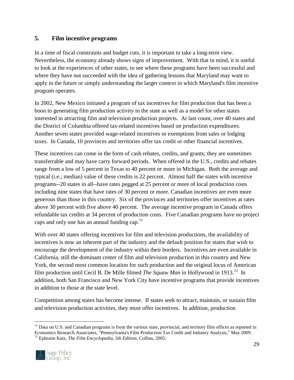### <span id="page-29-0"></span>**5. Film incentive programs**

In a time of fiscal constraints and budget cuts, it is important to take a long-term view. Nevertheless, the economy already shows signs of improvement. With that in mind, it is useful to look at the experiences of other states, to see where these programs have been successful and where they have not succeeded with the idea of gathering lessons that Maryland may want to apply in the future or simply understanding the larger context in which Maryland's film incentive program operates.

In 2002, New Mexico initiated a program of tax incentives for film production that has been a boon to generating film production activity in the state as well as a model for other states interested in attracting film and television production projects. At last count, over 40 states and the District of Columbia offered tax-related incentives based on production expenditures. Another seven states provided wage-related incentives or exemptions from sales or lodging taxes. In Canada, 10 provinces and territories offer tax credit or other financial incentives.

These incentives can come in the form of cash rebates, credits, and grants; they are sometimes transferrable and may have carry forward periods. When offered in the U.S., credits and rebates range from a low of 5 percent in Texas to 40 percent or more in Michigan. Both the average and typical (i.e.; median) value of these credits is 22 percent. Almost half the states with incentive programs--20 states in all--have rates pegged at 25 percent or more of local production costs including nine states that have rates of 30 percent or more. Canadian incentives are even more generous than those in this country. Six of the provinces and territories offer incentives at rates above 30 percent with five above 40 percent. The average incentive program in Canada offers refundable tax credits at 34 percent of production costs. Five Canadian programs have no project caps and only one has an annual funding cap.<sup>11</sup>

With over 40 states offering incentives for film and television productions, the availability of incentives is now an inherent part of the industry and the default position for states that wish to encourage the development of the industry within their borders. Incentives are even available in California, still the dominant center of film and television production in this country and New York, the second most common location for such production and the original locus of American film production until Cecil B. De Mille filmed *The Squaw Man* in Hollywood in 1913.<sup>12</sup> In addition, both San Francisco and New York City have incentive programs that provide incentives in addition to those at the state level.

Competition among states has become intense. If states seek to attract, maintain, or sustain film and television production activities, they must offer incentives. In addition, production

<sup>12</sup> Ephraim Katz, *The Film Encyclopedia, 5th Edition*, Collins, 2005.



 $\overline{a}$ <sup>11</sup> Data on U.S. and Canadian programs is from the various state, provincial, and territory film offices as reported in Economics Research Associates, "Pennsylvania's Film Production Tax Credit and Industry Analysis," May 2009.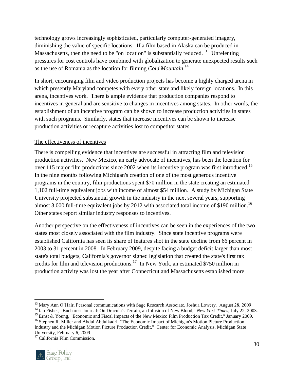technology grows increasingly sophisticated, particularly computer-generated imagery, diminishing the value of specific locations. If a film based in Alaska can be produced in Massachusetts, then the need to be "on location" is substantially reduced.<sup>13</sup> Unrelenting pressures for cost controls have combined with globalization to generate unexpected results such as the use of Romania as the location for filming *Cold Mountain*. 14

In short, encouraging film and video production projects has become a highly charged arena in which presently Maryland competes with every other state and likely foreign locations. In this arena, incentives work. There is ample evidence that production companies respond to incentives in general and are sensitive to changes in incentives among states. In other words, the establishment of an incentive program can be shown to increase production activities in states with such programs. Similarly, states that increase incentives can be shown to increase production activities or recapture activities lost to competitor states.

#### <span id="page-30-0"></span>The effectiveness of incentives

There is compelling evidence that incentives are successful in attracting film and television production activities. New Mexico, an early advocate of incentives, has been the location for over 115 major film productions since 2002 when its incentive program was first introduced.<sup>15</sup> In the nine months following Michigan's creation of one of the most generous incentive programs in the country, film productions spent \$70 million in the state creating an estimated 1,102 full-time equivalent jobs with income of almost \$54 million. A study by Michigan State University projected substantial growth in the industry in the next several years, supporting almost 3,000 full-time equivalent jobs by 2012 with associated total income of \$190 million.<sup>16</sup> Other states report similar industry responses to incentives.

Another perspective on the effectiveness of incentives can be seen in the experiences of the two states most closely associated with the film industry. Since state incentive programs were established California has seen its share of features shot in the state decline from 66 percent in 2003 to 31 percent in 2008. In February 2009, despite facing a budget deficit larger than most state's total budgets, California's governor signed legislation that created the state's first tax credits for film and television productions.<sup>17</sup> In New York, an estimated \$750 million in production activity was lost the year after Connecticut and Massachusetts established more

<sup>&</sup>lt;sup>17</sup> California Film Commission.



 $\overline{a}$ 

<sup>&</sup>lt;sup>13</sup> Mary Ann O'Hair, Personal communications with Sage Research Associate, Joshua Lowery. August 28, 2009

<sup>14</sup> Ian Fisher, "Bucharest Journal: On Dracula's Terrain, an Infusion of New Blood," *New York Times*, July 22, 2003.

<sup>&</sup>lt;sup>15</sup> Ernst & Young, "Economic and Fiscal Impacts of the New Mexico Film Production Tax Credit," January 2009.

<sup>&</sup>lt;sup>16</sup> Stephen R. Miller and Abdul Abdulkadri, "The Economic Impact of Michigan's Motion Picture Production Industry and the Michigan Motion Picture Production Credit," Center for Economic Analysis, Michigan State University, February 6, 2009.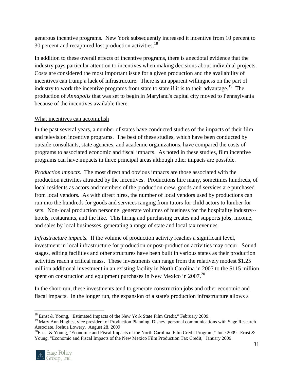generous incentive programs. New York subsequently increased it incentive from 10 percent to 30 percent and recaptured lost production activities.<sup>18</sup>

In addition to these overall effects of incentive programs, there is anecdotal evidence that the industry pays particular attention to incentives when making decisions about individual projects. Costs are considered the most important issue for a given production and the availability of incentives can trump a lack of infrastructure. There is an apparent willingness on the part of industry to work the incentive programs from state to state if it is to their advantage.<sup>19</sup> The production of *Annapolis* that was set to begin in Maryland's capital city moved to Pennsylvania because of the incentives available there.

#### <span id="page-31-0"></span>What incentives can accomplish

In the past several years, a number of states have conducted studies of the impacts of their film and television incentive programs. The best of these studies, which have been conducted by outside consultants, state agencies, and academic organizations, have compared the costs of programs to associated economic and fiscal impacts. As noted in these studies, film incentive programs can have impacts in three principal areas although other impacts are possible.

*Production impacts.* The most direct and obvious impacts are those associated with the production activities attracted by the incentives. Productions hire many, sometimes hundreds, of local residents as actors and members of the production crew, goods and services are purchased from local vendors. As with direct hires, the number of local vendors used by productions can run into the hundreds for goods and services ranging from tutors for child actors to lumber for sets. Non-local production personnel generate volumes of business for the hospitality industry- hotels, restaurants, and the like. This hiring and purchasing creates and supports jobs, income, and sales by local businesses, generating a range of state and local tax revenues.

*Infrastructure impacts.* If the volume of production activity reaches a significant level, investment in local infrastructure for production or post-production activities may occur. Sound stages, editing facilities and other structures have been built in various states as their production activities reach a critical mass. These investments can range from the relatively modest \$1.25 million additional investment in an existing facility in North Carolina in 2007 to the \$115 million spent on construction and equipment purchases in New Mexico in 2007.<sup>20</sup>

In the short-run, these investments tend to generate construction jobs and other economic and fiscal impacts. In the longer run, the expansion of a state's production infrastructure allows a

<sup>&</sup>lt;sup>20</sup>Ernst & Young, "Economic and Fiscal Impacts of the North Carolina Film Credit Program," June 2009. Ernst & Young, "Economic and Fiscal Impacts of the New Mexico Film Production Tax Credit," January 2009.



 $\overline{a}$ <sup>18</sup> Ernst & Young, "Estimated Impacts of the New York State Film Credit," February 2009.

<sup>&</sup>lt;sup>19</sup> Mary Ann Hughes, vice president of Production Planning, Disney, personal communications with Sage Research Associate, Joshua Lowery. August 28, 2009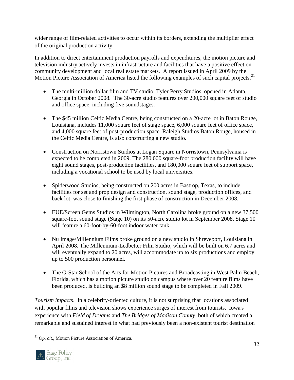wider range of film-related activities to occur within its borders, extending the multiplier effect of the original production activity.

In addition to direct entertainment production payrolls and expenditures, the motion picture and television industry actively invests in infrastructure and facilities that have a positive effect on community development and local real estate markets. A report issued in April 2009 by the Motion Picture Association of America listed the following examples of such capital projects.<sup>21</sup>

- The multi-million dollar film and TV studio, Tyler Perry Studios, opened in Atlanta, Georgia in October 2008. The 30-acre studio features over 200,000 square feet of studio and office space, including five soundstages.
- The \$45 million Celtic Media Centre, being constructed on a 20-acre lot in Baton Rouge, Louisiana, includes 11,000 square feet of stage space, 6,000 square feet of office space, and 4,000 square feet of post-production space. Raleigh Studios Baton Rouge, housed in the Celtic Media Centre, is also constructing a new studio.
- Construction on Norristown Studios at Logan Square in Norristown, Pennsylvania is expected to be completed in 2009. The 280,000 square-foot production facility will have eight sound stages, post-production facilities, and 180,000 square feet of support space, including a vocational school to be used by local universities.
- Spiderwood Studios, being constructed on 200 acres in Bastrop, Texas, to include facilities for set and prop design and construction, sound stage, production offices, and back lot, was close to finishing the first phase of construction in December 2008.
- EUE/Screen Gems Studios in Wilmington, North Carolina broke ground on a new 37,500 square-foot sound stage (Stage 10) on its 50-acre studio lot in September 2008. Stage 10 will feature a 60-foot-by-60-foot indoor water tank.
- Nu Image/Millennium Films broke ground on a new studio in Shreveport, Louisiana in April 2008. The Millennium-Ledbetter Film Studio, which will be built on 6.7 acres and will eventually expand to 20 acres, will accommodate up to six productions and employ up to 500 production personnel.
- The G-Star School of the Arts for Motion Pictures and Broadcasting in West Palm Beach, Florida, which has a motion picture studio on campus where over 20 feature films have been produced, is building an \$8 million sound stage to be completed in Fall 2009.

*Tourism impacts*. In a celebrity-oriented culture, it is not surprising that locations associated with popular films and television shows experience surges of interest from tourists. Iowa's experience with *Field of Dreams* and *The Bridges of Madison County*, both of which created a remarkable and sustained interest in what had previously been a non-existent tourist destination

 $\overline{a}$ <sup>21</sup> *Op. cit*., Motion Picture Association of America.

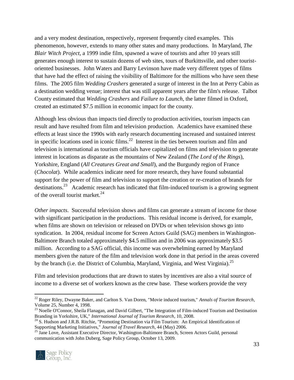and a very modest destination, respectively, represent frequently cited examples. This phenomenon, however, extends to many other states and many productions. In Maryland, *The Blair Witch Project*, a 1999 indie film, spawned a wave of tourists and after 10 years still generates enough interest to sustain dozens of web sites, tours of Burkittsville, and other touristoriented businesses. John Waters and Barry Levinson have made very different types of films that have had the effect of raising the visibility of Baltimore for the millions who have seen these films. The 2005 film *Wedding Crashers* generated a surge of interest in the Inn at Perry Cabin as a destination wedding venue; interest that was still apparent years after the film's release. Talbot County estimated that *Wedding Crashers* and *Failure to Launch*, the latter filmed in Oxford, created an estimated \$7.5 million in economic impact for the county.

Although less obvious than impacts tied directly to production activities, tourism impacts can result and have resulted from film and television production. Academics have examined these effects at least since the 1990s with early research documenting increased and sustained interest in specific locations used in iconic films. $^{22}$  Interest in the ties between tourism and film and television is international as tourism officials have capitalized on films and television to generate interest in locations as disparate as the mountains of New Zealand (*The Lord of the Rings*), Yorkshire, England (*All Creatures Great and Small*), and the Burgundy region of France (*Chocolat*). While academics indicate need for more research, they have found substantial support for the power of film and television to support the creation or re-creation of brands for destinations.<sup>23</sup> Academic research has indicated that film-induced tourism is a growing segment of the overall tourist market. $^{24}$ 

*Other impacts*. Successful television shows and films can generate a stream of income for those with significant participation in the productions. This residual income is derived, for example, when films are shown on television or released on DVDs or when television shows go into syndication. In 2004, residual income for Screen Actors Guild (SAG) members in Washington-Baltimore Branch totaled approximately \$4.5 million and in 2006 was approximately \$3.5 million. According to a SAG official, this income was overwhelming earned by Maryland members given the nature of the film and television work done in that period in the areas covered by the branch (i.e. the District of Columbia, Maryland, Virginia, and West Virginia).<sup>25</sup>

Film and television productions that are drawn to states by incentives are also a vital source of income to a diverse set of workers known as the crew base. These workers provide the very

<sup>&</sup>lt;sup>25</sup> Jane Love, Assistant Executive Director, Washington-Baltimore Branch, Screen Actors Guild, personal communication with John Duberg, Sage Policy Group, October 13, 2009.



 $\overline{a}$ 

<sup>22</sup> Roger Riley, Dwayne Baker, and Carlton S. Van Doren, "Movie induced tourism," *Annals of Tourism Research*, Volume 25, Number 4, 1998.

<sup>&</sup>lt;sup>23</sup> Noelle O'Connor, Sheila Flanagan, and David Gilbert, "The Integration of Film-induced Tourism and Destination Branding in Yorkshire, UK," *International Journal of Tourism Research*, 10, 2008.

<sup>&</sup>lt;sup>24</sup> S. Hudson and J.R.B. Ritchie, "Promoting Destination via Film Tourism: An Empirical Identification of Supporting Marketing Initiatives," *Journal of Travel Research*, 44 (May) 2006.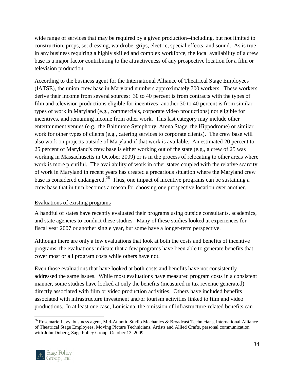wide range of services that may be required by a given production--including, but not limited to construction, props, set dressing, wardrobe, grips, electric, special effects, and sound. As is true in any business requiring a highly skilled and complex workforce, the local availability of a crew base is a major factor contributing to the attractiveness of any prospective location for a film or television production.

According to the business agent for the International Alliance of Theatrical Stage Employees (IATSE), the union crew base in Maryland numbers approximately 700 workers. These workers derive their income from several sources: 30 to 40 percent is from contracts with the types of film and television productions eligible for incentives; another 30 to 40 percent is from similar types of work in Maryland (e.g., commercials, corporate video productions) not eligible for incentives, and remaining income from other work. This last category may include other entertainment venues (e.g., the Baltimore Symphony, Arena Stage, the Hippodrome) or similar work for other types of clients (e.g., catering services to corporate clients). The crew base will also work on projects outside of Maryland if that work is available. An estimated 20 percent to 25 percent of Maryland's crew base is either working out of the state (e.g., a crew of 25 was working in Massachusetts in October 2009) or is in the process of relocating to other areas where work is more plentiful. The availability of work in other states coupled with the relative scarcity of work in Maryland in recent years has created a precarious situation where the Maryland crew base is considered endangered.<sup>26</sup> Thus, one impact of incentive programs can be sustaining a crew base that in turn becomes a reason for choosing one prospective location over another.

#### <span id="page-34-0"></span>Evaluations of existing programs

A handful of states have recently evaluated their programs using outside consultants, academics, and state agencies to conduct these studies. Many of these studies looked at experiences for fiscal year 2007 or another single year, but some have a longer-term perspective.

Although there are only a few evaluations that look at both the costs and benefits of incentive programs, the evaluations indicate that a few programs have been able to generate benefits that cover most or all program costs while others have not.

Even those evaluations that have looked at both costs and benefits have not consistently addressed the same issues. While most evaluations have measured program costs in a consistent manner, some studies have looked at only the benefits (measured in tax revenue generated) directly associated with film or video production activities. Others have included benefits associated with infrastructure investment and/or tourism activities linked to film and video productions. In at least one case, Louisiana, the omission of infrastructure-related benefits can

<sup>&</sup>lt;sup>26</sup> Rosemarie Levy, business agent, Mid-Atlantic Studio Mechanics & Broadcast Technicians, International Alliance of Theatrical Stage Employees, Moving Picture Technicians, Artists and Allied Crafts, personal communication with John Duberg, Sage Policy Group, October 13, 2009.



 $\overline{a}$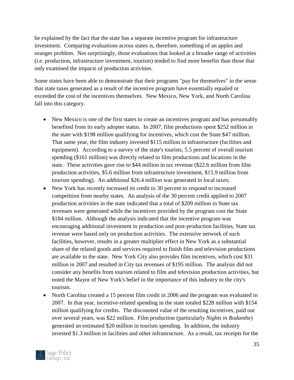be explained by the fact that the state has a separate incentive program for infrastructure investment. Comparing evaluations across states is, therefore, something of an apples and oranges problem. Not surprisingly, those evaluations that looked at a broader range of activities (i.e. production, infrastructure investment, tourism) tended to find more benefits than those that only examined the impacts of production activities.

Some states have been able to demonstrate that their programs "pay for themselves" in the sense that state taxes generated as a result of the incentive program have essentially equaled or exceeded the cost of the incentives themselves. New Mexico, New York, and North Carolina fall into this category.

- New Mexico is one of the first states to create an incentives program and has presumably benefited from its early adopter status. In 2007, film productions spent \$252 million in the state with \$198 million qualifying for incentives, which cost the State \$47 million. That same year, the film industry invested \$115 million in infrastructure (facilities and equipment). According to a survey of the state's tourists, 5.5 percent of overall tourism spending (\$161 million) was directly related to film productions and locations in the state. These activities gave rise to \$44 million in tax revenue (\$22.6 million from film production activities, \$5.6 million from infrastructure investment, \$15.9 million from tourism spending). An additional \$26.4 million was generated in local taxes;
- New York has recently increased its credit to 30 percent to respond to increased competition from nearby states. An analysis of the 30 percent credit applied to 2007 production activities in the state indicated that a total of \$209 million in State tax revenues were generated while the incentives provided by the program cost the State \$184 million. Although the analysis indicated that the incentive program was encouraging additional investment in production and post-production facilities, State tax revenue were based only on production activities. The extensive network of such facilities, however, results in a greater multiplier effect in New York as a substantial share of the related goods and services required to finish film and television productions are available in the state. New York City also provides film incentives, which cost \$31 million in 2007 and resulted in City tax revenues of \$195 million. The analysis did not consider any benefits from tourism related to film and television production activities, but noted the Mayor of New York's belief in the importance of this industry to the city's tourism.
- North Carolina created a 15 percent film credit in 2006 and the program was evaluated in 2007. In that year, incentive-related spending in the state totaled \$228 million with \$154 million qualifying for credits. The discounted value of the resulting incentives, paid out over several years, was \$22 million. Film production (particularly *Nights in Rodanthe*) generated an estimated \$20 million in tourism spending. In addition, the industry invested \$1.3 million in facilities and other infrastructure. As a result, tax receipts for the

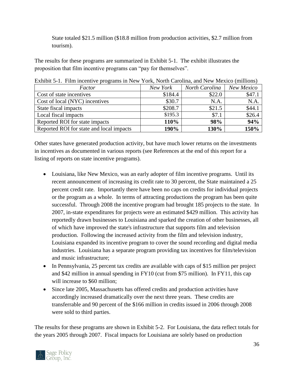State totaled \$21.5 million (\$18.8 million from production activities, \$2.7 million from tourism).

The results for these programs are summarized in Exhibit 5-1. The exhibit illustrates the proposition that film incentive programs can "pay for themselves".

| Factor                                   | New York | North Carolina | New Mexico |  |
|------------------------------------------|----------|----------------|------------|--|
| Cost of state incentives                 | \$184.4  | \$22.0         | \$47.1     |  |
| Cost of local (NYC) incentives           | \$30.7   | N.A.           | N.A.       |  |
| State fiscal impacts                     | \$208.7  | \$21.5         | \$44.1     |  |
| Local fiscal impacts                     | \$195.3  | \$7.1          | \$26.4     |  |
| Reported ROI for state impacts           | 110%     | 98%            | 94%        |  |
| Reported ROI for state and local impacts | 190%     | 130%           | 150%       |  |

<span id="page-36-0"></span>Exhibit 5-1. Film incentive programs in New York, North Carolina, and New Mexico (millions)

Other states have generated production activity, but have much lower returns on the investments in incentives as documented in various reports (see References at the end of this report for a listing of reports on state incentive programs).

- Louisiana, like New Mexico, was an early adopter of film incentive programs. Until its recent announcement of increasing its credit rate to 30 percent, the State maintained a 25 percent credit rate. Importantly there have been no caps on credits for individual projects or the program as a whole. In terms of attracting productions the program has been quite successful. Through 2008 the incentive program had brought 185 projects to the state. In 2007, in-state expenditures for projects were an estimated \$429 million. This activity has reportedly drawn businesses to Louisiana and sparked the creation of other businesses, all of which have improved the state's infrastructure that supports film and television production. Following the increased activity from the film and television industry, Louisiana expanded its incentive program to cover the sound recording and digital media industries. Louisiana has a separate program providing tax incentives for film/television and music infrastructure;
- In Pennsylvania, 25 percent tax credits are available with caps of \$15 million per project and \$42 million in annual spending in FY10 (cut from \$75 million). In FY11, this cap will increase to \$60 million;
- Since late 2005, Massachusetts has offered credits and production activities have accordingly increased dramatically over the next three years. These credits are transferrable and 90 percent of the \$166 million in credits issued in 2006 through 2008 were sold to third parties.

The results for these programs are shown in Exhibit 5-2. For Louisiana, the data reflect totals for the years 2005 through 2007. Fiscal impacts for Louisiana are solely based on production

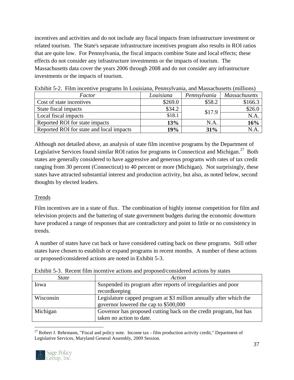incentives and activities and do not include any fiscal impacts from infrastructure investment or related tourism. The State's separate infrastructure incentives program also results in ROI ratios that are quite low. For Pennsylvania, the fiscal impacts combine State and local effects; these effects do not consider any infrastructure investments or the impacts of tourism. The Massachusetts data cover the years 2006 through 2008 and do not consider any infrastructure investments or the impacts of tourism.

| Factor                                   | Louisiana | Pennsylvania | <b>Massachusetts</b> |  |  |
|------------------------------------------|-----------|--------------|----------------------|--|--|
| Cost of state incentives                 | \$269.0   | \$58.2       | \$166.3              |  |  |
| State fiscal impacts                     | \$34.2    | \$17.9       | \$26.0               |  |  |
| Local fiscal impacts                     | \$18.1    |              | N.A                  |  |  |
| Reported ROI for state impacts           | 13%       | N.A          | 16%                  |  |  |
| Reported ROI for state and local impacts | 19%       | 31%          | ΝA                   |  |  |

<span id="page-37-1"></span>Exhibit 5-2. Film incentive programs In Louisiana, Pennsylvania, and Massachusetts (millions)

Although not detailed above, an analysis of state film incentive programs by the Department of Legislative Services found similar ROI ratios for programs in Connecticut and Michigan.<sup>27</sup> Both states are generally considered to have aggressive and generous programs with rates of tax credit ranging from 30 percent (Connecticut) to 40 percent or more (Michigan). Not surprisingly, these states have attracted substantial interest and production activity, but also, as noted below, second thoughts by elected leaders.

#### <span id="page-37-0"></span>Trends

Film incentives are in a state of flux. The combination of highly intense competition for film and television projects and the battering of state government budgets during the economic downturn have produced a range of responses that are contradictory and point to little or no consistency in trends.

A number of states have cut back or have considered cutting back on these programs. Still other states have chosen to establish or expand programs in recent months. A number of these actions or proposed/considered actions are noted in Exhibit 5-3.

| <i>State</i> | Action                                                                                                      |
|--------------|-------------------------------------------------------------------------------------------------------------|
| Iowa         | Suspended its program after reports of irregularities and poor                                              |
|              | recordkeeping                                                                                               |
| Wisconsin    | Legislature capped program at \$3 million annually after which the<br>governor lowered the cap to \$500,000 |
| Michigan     | Governor has proposed cutting back on the credit program, but has<br>taken no action to date.               |

<span id="page-37-2"></span>Exhibit 5-3. Recent film incentive actions and proposed/considered actions by states

 $\overline{a}$ <sup>27</sup> Robert J. Rehrmann, "Fiscal and policy note. Income tax - film production activity credit," Department of Legislative Services, Maryland General Assembly, 2009 Session.

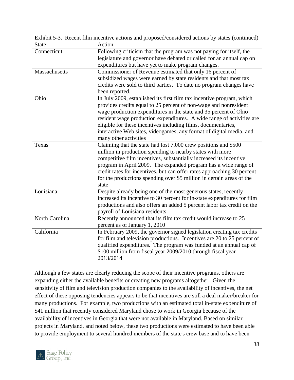| <b>State</b>   | Action                                                                   |
|----------------|--------------------------------------------------------------------------|
| Connecticut    | Following criticism that the program was not paying for itself, the      |
|                | legislature and governor have debated or called for an annual cap on     |
|                | expenditures but have yet to make program changes.                       |
| Massachusetts  | Commissioner of Revenue estimated that only 16 percent of                |
|                | subsidized wages were earned by state residents and that most tax        |
|                | credits were sold to third parties. To date no program changes have      |
|                | been reported.                                                           |
| Ohio           | In July 2009, established its first film tax incentive program, which    |
|                | provides credits equal to 25 percent of non-wage and nonresident         |
|                | wage production expenditures in the state and 35 percent of Ohio         |
|                | resident wage production expenditures. A wide range of activities are    |
|                | eligible for these incentives including films, documentaries,            |
|                | interactive Web sites, videogames, any format of digital media, and      |
|                | many other activities                                                    |
| Texas          | Claiming that the state had lost 7,000 crew positions and \$500          |
|                | million in production spending to nearby states with more                |
|                | competitive film incentives, substantially increased its incentive       |
|                | program in April 2009. The expanded program has a wide range of          |
|                | credit rates for incentives, but can offer rates approaching 30 percent  |
|                | for the productions spending over \$5 million in certain areas of the    |
|                | state                                                                    |
| Louisiana      | Despite already being one of the most generous states, recently          |
|                | increased its incentive to 30 percent for in-state expenditures for film |
|                | productions and also offers an added 5 percent labor tax credit on the   |
|                | payroll of Louisiana residents                                           |
| North Carolina | Recently announced that its film tax credit would increase to 25         |
|                | percent as of January 1, 2010                                            |
| California     | In February 2009, the governor signed legislation creating tax credits   |
|                | for film and television productions. Incentives are 20 to 25 percent of  |
|                | qualified expenditures. The program was funded at an annual cap of       |
|                | \$100 million from fiscal year 2009/2010 through fiscal year             |
|                | 2013/2014                                                                |

Exhibit 5-3. Recent film incentive actions and proposed/considered actions by states (continued)

Although a few states are clearly reducing the scope of their incentive programs, others are expanding either the available benefits or creating new programs altogether. Given the sensitivity of film and television production companies to the availability of incentives, the net effect of these opposing tendencies appears to be that incentives are still a deal maker/breaker for many productions. For example, two productions with an estimated total in-state expenditure of \$41 million that recently considered Maryland chose to work in Georgia because of the availability of incentives in Georgia that were not available in Maryland. Based on similar projects in Maryland, and noted below, these two productions were estimated to have been able to provide employment to several hundred members of the state's crew base and to have been

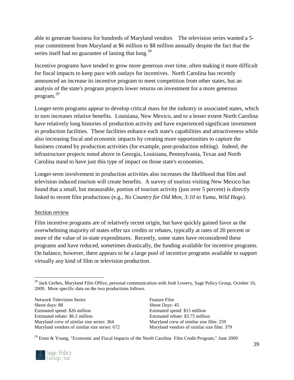able to generate business for hundreds of Maryland vendors The television series wanted a 5 year commitment from Maryland at \$6 million to \$8 million annually despite the fact that the series itself had no guarantee of lasting that  $\log^{28}$ 

Incentive programs have tended to grow more generous over time, often making it more difficult for fiscal impacts to keep pace with outlays for incentives. North Carolina has recently announced an increase its incentive program to meet competition from other states, but an analysis of the state's program projects lower returns on investment for a more generous program.<sup>29</sup>

Longer-term programs appear to develop critical mass for the industry in associated states, which in turn increases relative benefits. Louisiana, New Mexico, and to a lesser extent North Carolina have relatively long histories of production activity and have experienced significant investment in production facilities. These facilities enhance each state's capabilities and attractiveness while also increasing fiscal and economic impacts by creating more opportunities to capture the business created by production activities (for example, post-production editing). Indeed, the infrastructure projects noted above in Georgia, Louisiana, Pennsylvania, Texas and North Carolina stand to have just this type of impact on those state's economies.

Longer-term involvement in production activities also increases the likelihood that film and television induced tourism will create benefits. A survey of tourists visiting New Mexico has found that a small, but measurable, portion of tourism activity (just over 5 percent) is directly linked to recent film productions (e.g., *No Country for Old Men, 3:10 to Yuma, Wild Hogs*).

#### <span id="page-39-0"></span>Section review

Film incentive programs are of relatively recent origin, but have quickly gained favor as the overwhelming majority of states offer tax credits or rebates, typically at rates of 20 percent or more of the value of in-state expenditures. Recently, some states have reconsidered these programs and have reduced, sometimes drastically, the funding available for incentive programs. On balance, however, there appears to be a large pool of incentive programs available to support virtually any kind of film or television production.

 $\overline{a}$ <sup>28</sup> Jack Gerbes, Maryland Film Office, personal communication with Josh Lowery, Sage Policy Group, October 16, 2009. More specific data on the two productions follows.

| <b>Network Television Series</b>             |
|----------------------------------------------|
| Shoot days: 88                               |
| Estimated spend: \$26 million                |
| Estimated rebate: \$6.5 million              |
| Maryland crew of similar size series: 364    |
| Maryland vendors of similar size series: 672 |

Feature Film Shoot Days: 45 Estimated spend: \$15 million Estimated rebate: \$3.75 million Maryland crew of similar size film: 259 Maryland vendors of similar size film: 379

<sup>29</sup> Ernst & Young, "Economic and Fiscal Impacts of the North Carolina Film Credit Program," June 2009

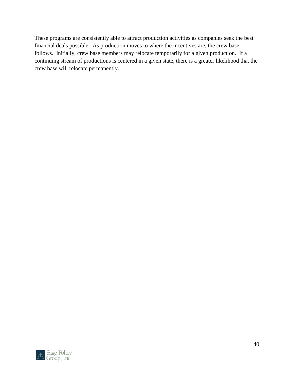These programs are consistently able to attract production activities as companies seek the best financial deals possible. As production moves to where the incentives are, the crew base follows. Initially, crew base members may relocate temporarily for a given production. If a continuing stream of productions is centered in a given state, there is a greater likelihood that the crew base will relocate permanently.

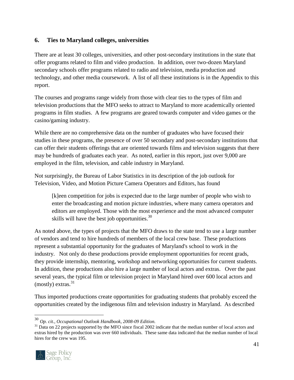# <span id="page-41-0"></span>**6. Ties to Maryland colleges, universities**

There are at least 30 colleges, universities, and other post-secondary institutions in the state that offer programs related to film and video production. In addition, over two-dozen Maryland secondary schools offer programs related to radio and television, media production and technology, and other media coursework. A list of all these institutions is in the Appendix to this report.

The courses and programs range widely from those with clear ties to the types of film and television productions that the MFO seeks to attract to Maryland to more academically oriented programs in film studies. A few programs are geared towards computer and video games or the casino/gaming industry.

While there are no comprehensive data on the number of graduates who have focused their studies in these programs, the presence of over 50 secondary and post-secondary institutions that can offer their students offerings that are oriented towards films and television suggests that there may be hundreds of graduates each year. As noted, earlier in this report, just over 9,000 are employed in the film, television, and cable industry in Maryland.

Not surprisingly, the Bureau of Labor Statistics in its description of the job outlook for Television, Video, and Motion Picture Camera Operators and Editors, has found

[k]een competition for jobs is expected due to the large number of people who wish to enter the broadcasting and motion picture industries, where many camera operators and editors are employed. Those with the most experience and the most advanced computer skills will have the best job opportunities. $30$ 

As noted above, the types of projects that the MFO draws to the state tend to use a large number of vendors and tend to hire hundreds of members of the local crew base. These productions represent a substantial opportunity for the graduates of Maryland's school to work in the industry. Not only do these productions provide employment opportunities for recent grads, they provide internship, mentoring, workshop and networking opportunities for current students. In addition, these productions also hire a large number of local actors and extras. Over the past several years, the typical film or television project in Maryland hired over 600 local actors and (mostly) extras. $31$ 

Thus imported productions create opportunities for graduating students that probably exceed the opportunities created by the indigenous film and television industry in Maryland. As described

<sup>&</sup>lt;sup>31</sup> Data on 22 projects supported by the MFO since fiscal 2002 indicate that the median number of local actors and extras hired by the production was over 660 individuals. These same data indicated that the median number of local hires for the crew was 195.



 $\overline{a}$ 

<sup>30</sup> *Op. cit., Occupational Outlook Handbook, 2008-09 Edition.*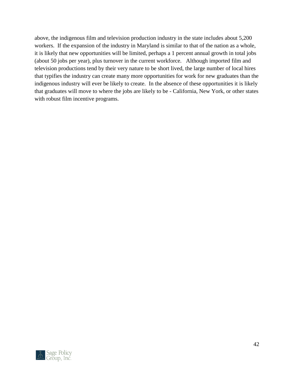above, the indigenous film and television production industry in the state includes about 5,200 workers. If the expansion of the industry in Maryland is similar to that of the nation as a whole, it is likely that new opportunities will be limited, perhaps a 1 percent annual growth in total jobs (about 50 jobs per year), plus turnover in the current workforce. Although imported film and television productions tend by their very nature to be short lived, the large number of local hires that typifies the industry can create many more opportunities for work for new graduates than the indigenous industry will ever be likely to create. In the absence of these opportunities it is likely that graduates will move to where the jobs are likely to be - California, New York, or other states with robust film incentive programs.

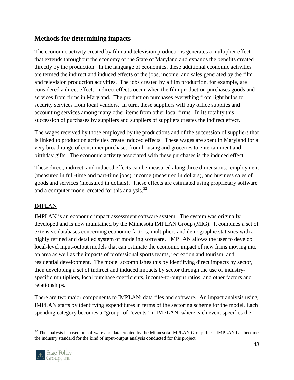# **Methods for determining impacts**

The economic activity created by film and television productions generates a multiplier effect that extends throughout the economy of the State of Maryland and expands the benefits created directly by the production. In the language of economics, these additional economic activities are termed the indirect and induced effects of the jobs, income, and sales generated by the film and television production activities. The jobs created by a film production, for example, are considered a direct effect. Indirect effects occur when the film production purchases goods and services from firms in Maryland. The production purchases everything from light bulbs to security services from local vendors. In turn, these suppliers will buy office supplies and accounting services among many other items from other local firms. In its totality this succession of purchases by suppliers and suppliers of suppliers creates the indirect effect.

The wages received by those employed by the productions and of the succession of suppliers that is linked to production activities create induced effects. These wages are spent in Maryland for a very broad range of consumer purchases from housing and groceries to entertainment and birthday gifts. The economic activity associated with these purchases is the induced effect.

These direct, indirect, and induced effects can be measured along three dimensions: employment (measured in full-time and part-time jobs), income (measured in dollars), and business sales of goods and services (measured in dollars). These effects are estimated using proprietary software and a computer model created for this analysis.<sup>32</sup>

#### <span id="page-43-0"></span>IMPLAN

IMPLAN is an economic impact assessment software system. The system was originally developed and is now maintained by the Minnesota IMPLAN Group (MIG). It combines a set of extensive databases concerning economic factors, multipliers and demographic statistics with a highly refined and detailed system of modeling software. IMPLAN allows the user to develop local-level input-output models that can estimate the economic impact of new firms moving into an area as well as the impacts of professional sports teams, recreation and tourism, and residential development. The model accomplishes this by identifying direct impacts by sector, then developing a set of indirect and induced impacts by sector through the use of industryspecific multipliers, local purchase coefficients, income-to-output ratios, and other factors and relationships.

There are two major components to IMPLAN: data files and software. An impact analysis using IMPLAN starts by identifying expenditures in terms of the sectoring scheme for the model. Each spending category becomes a "group" of "events" in IMPLAN, where each event specifies the

<sup>&</sup>lt;sup>32</sup> The analysis is based on software and data created by the Minnesota IMPLAN Group, Inc. IMPLAN has become the industry standard for the kind of input-output analysis conducted for this project.



 $\overline{a}$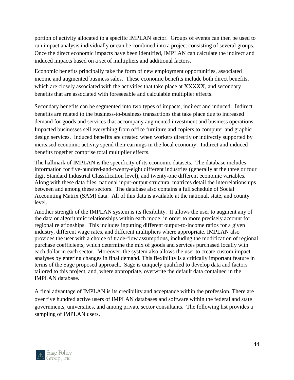portion of activity allocated to a specific IMPLAN sector. Groups of events can then be used to run impact analysis individually or can be combined into a project consisting of several groups. Once the direct economic impacts have been identified, IMPLAN can calculate the indirect and induced impacts based on a set of multipliers and additional factors.

Economic benefits principally take the form of new employment opportunities, associated income and augmented business sales. These economic benefits include both direct benefits, which are closely associated with the activities that take place at XXXXX, and secondary benefits that are associated with foreseeable and calculable multiplier effects.

Secondary benefits can be segmented into two types of impacts, indirect and induced. Indirect benefits are related to the business-to-business transactions that take place due to increased demand for goods and services that accompany augmented investment and business operations. Impacted businesses sell everything from office furniture and copiers to computer and graphic design services. Induced benefits are created when workers directly or indirectly supported by increased economic activity spend their earnings in the local economy. Indirect and induced benefits together comprise total multiplier effects.

The hallmark of IMPLAN is the specificity of its economic datasets. The database includes information for five-hundred-and-twenty-eight different industries (generally at the three or four digit Standard Industrial Classification level), and twenty-one different economic variables. Along with these data files, national input-output structural matrices detail the interrelationships between and among these sectors. The database also contains a full schedule of Social Accounting Matrix (SAM) data. All of this data is available at the national, state, and county level.

Another strength of the IMPLAN system is its flexibility. It allows the user to augment any of the data or algorithmic relationships within each model in order to more precisely account for regional relationships. This includes inputting different output-to-income ratios for a given industry, different wage rates, and different multipliers where appropriate. IMPLAN also provides the user with a choice of trade-flow assumptions, including the modification of regional purchase coefficients, which determine the mix of goods and services purchased locally with each dollar in each sector. Moreover, the system also allows the user to create custom impact analyses by entering changes in final demand. This flexibility is a critically important feature in terms of the Sage proposed approach. Sage is uniquely qualified to develop data and factors tailored to this project, and, where appropriate, overwrite the default data contained in the IMPLAN database.

A final advantage of IMPLAN is its credibility and acceptance within the profession. There are over five hundred active users of IMPLAN databases and software within the federal and state governments, universities, and among private sector consultants. The following list provides a sampling of IMPLAN users.

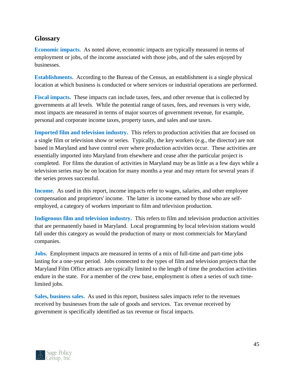# <span id="page-45-0"></span>**Glossary**

**Economic impacts.** As noted above, economic impacts are typically measured in terms of employment or jobs, of the income associated with those jobs, and of the sales enjoyed by businesses.

**Establishments.** According to the Bureau of the Census, an establishment is a single physical location at which business is conducted or where services or industrial operations are performed.

**Fiscal impacts.** These impacts can include taxes, fees, and other revenue that is collected by governments at all levels. While the potential range of taxes, fees, and revenues is very wide, most impacts are measured in terms of major sources of government revenue, for example, personal and corporate income taxes, property taxes, and sales and use taxes.

**Imported film and television industry.** This refers to production activities that are focused on a single film or television show or series. Typically, the key workers (e.g., the director) are not based in Maryland and have control over where production activities occur. These activities are essentially imported into Maryland from elsewhere and cease after the particular project is completed. For films the duration of activities in Maryland may be as little as a few days while a television series may be on location for many months a year and may return for several years if the series proves successful.

**Income.** As used in this report, income impacts refer to wages, salaries, and other employee compensation and proprietors' income. The latter is income earned by those who are selfemployed, a category of workers important to film and television production.

**Indigenous film and television industry.** This refers to film and television production activities that are permanently based in Maryland. Local programming by local television stations would fall under this category as would the production of many or most commercials for Maryland companies.

**Jobs.** Employment impacts are measured in terms of a mix of full-time and part-time jobs lasting for a one-year period. Jobs connected to the types of film and television projects that the Maryland Film Office attracts are typically limited to the length of time the production activities endure in the state. For a member of the crew base, employment is often a series of such timelimited jobs.

**Sales, business sales.** As used in this report, business sales impacts refer to the revenues received by businesses from the sale of goods and services. Tax revenue received by government is specifically identified as tax revenue or fiscal impacts.

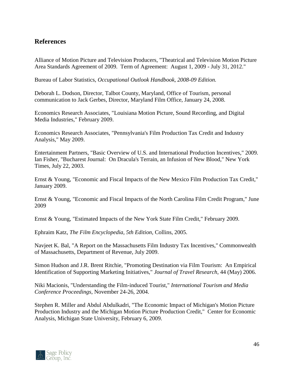# <span id="page-46-0"></span>**References**

Alliance of Motion Picture and Television Producers, "Theatrical and Television Motion Picture Area Standards Agreement of 2009. Term of Agreement: August 1, 2009 - July 31, 2012."

Bureau of Labor Statistics, *Occupational Outlook Handbook, 2008-09 Edition.*

Deborah L. Dodson, Director, Talbot County, Maryland, Office of Tourism, personal communication to Jack Gerbes, Director, Maryland Film Office, January 24, 2008.

Economics Research Associates, "Louisiana Motion Picture, Sound Recording, and Digital Media Industries," February 2009.

Economics Research Associates, "Pennsylvania's Film Production Tax Credit and Industry Analysis," May 2009.

Entertainment Partners, "Basic Overview of U.S. and International Production Incentives," 2009. Ian Fisher, "Bucharest Journal: On Dracula's Terrain, an Infusion of New Blood," New York Times, July 22, 2003.

Ernst & Young, "Economic and Fiscal Impacts of the New Mexico Film Production Tax Credit," January 2009.

Ernst & Young, "Economic and Fiscal Impacts of the North Carolina Film Credit Program," June 2009

Ernst & Young, "Estimated Impacts of the New York State Film Credit," February 2009.

Ephraim Katz, *The Film Encyclopedia, 5th Edition*, Collins, 2005.

Navjeet K. Bal, "A Report on the Massachusetts Film Industry Tax Incentives," Commonwealth of Massachusetts, Department of Revenue, July 2009.

Simon Hudson and J.R. Brent Ritchie, "Promoting Destination via Film Tourism: An Empirical Identification of Supporting Marketing Initiatives," *Journal of Travel Research*, 44 (May) 2006.

Niki Macionis, "Understanding the Film-induced Tourist," *International Tourism and Media Conference Proceedings*, November 24-26, 2004.

Stephen R. Miller and Abdul Abdulkadri, "The Economic Impact of Michigan's Motion Picture Production Industry and the Michigan Motion Picture Production Credit," Center for Economic Analysis, Michigan State University, February 6, 2009.

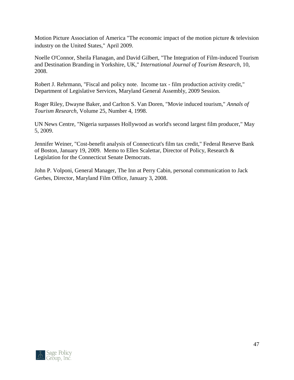Motion Picture Association of America "The economic impact of the motion picture & television industry on the United States," April 2009.

Noelle O'Connor, Sheila Flanagan, and David Gilbert, "The Integration of Film-induced Tourism and Destination Branding in Yorkshire, UK," *International Journal of Tourism Research*, 10, 2008.

Robert J. Rehrmann, "Fiscal and policy note. Income tax - film production activity credit," Department of Legislative Services, Maryland General Assembly, 2009 Session.

Roger Riley, Dwayne Baker, and Carlton S. Van Doren, "Movie induced tourism," *Annals of Tourism Research*, Volume 25, Number 4, 1998.

UN News Centre, "Nigeria surpasses Hollywood as world's second largest film producer," May 5, 2009.

Jennifer Weiner, "Cost-benefit analysis of Connecticut's film tax credit," Federal Reserve Bank of Boston, January 19, 2009. Memo to Ellen Scalettar, Director of Policy, Research & Legislation for the Connecticut Senate Democrats.

John P. Volponi, General Manager, The Inn at Perry Cabin, personal communication to Jack Gerbes, Director, Maryland Film Office, January 3, 2008.

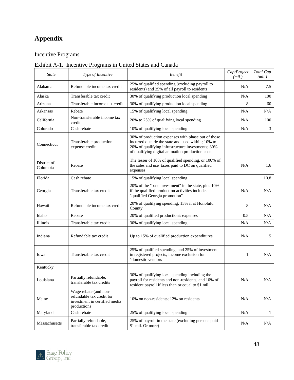# **Appendix**

### <span id="page-48-0"></span>Incentive Programs

# <span id="page-48-1"></span>Exhibit A-1. Incentive Programs in United States and Canada

| <b>State</b>            | Type of Incentive                                                                                  | <b>Benefit</b>                                                                                                                                                                                                    | Cap/Project<br>(mil.) | Total Cap<br>(mil.) |
|-------------------------|----------------------------------------------------------------------------------------------------|-------------------------------------------------------------------------------------------------------------------------------------------------------------------------------------------------------------------|-----------------------|---------------------|
| Alabama                 | Refundable income tax credit                                                                       | 25% of qualified spending (excluding payroll to<br>residents) and 35% of all payroll to residents                                                                                                                 | N/A                   | 7.5                 |
| Alaska                  | Transferable tax credit                                                                            | 30% of qualifying production local spending                                                                                                                                                                       | N/A                   | 100                 |
| Arizona                 | Transferable income tax credit                                                                     | 30% of qualifying production local spending                                                                                                                                                                       | 8                     | 60                  |
| Arkansas                | Rebate                                                                                             | 15% of qualifying local spending                                                                                                                                                                                  | N/A                   | N/A                 |
| California              | Non-transferable income tax<br>credit                                                              | 20% to 25% of qualifying local spending                                                                                                                                                                           | N/A                   | 100                 |
| Colorado                | Cash rebate                                                                                        | 10% of qualifying local spending                                                                                                                                                                                  | N/A                   | 3                   |
| Connecticut             | Transferable production<br>expense credit                                                          | 30% of production expenses with phase out of those<br>incurred outside the state and used within; 10% to<br>20% of qualifying infrastructure investments; 30%<br>of qualifying digital animation production costs |                       |                     |
| District of<br>Columbia | Rebate                                                                                             | The lesser of 10% of qualified spending, or 100% of<br>the sales and use taxes paid to DC on qualified<br>expenses                                                                                                | N/A                   | 1.6                 |
| Florida                 | Cash rebate                                                                                        | 15% of qualifying local spending                                                                                                                                                                                  |                       | 10.8                |
| Georgia                 | Transferable tax credit                                                                            | 20% of the "base investment" in the state, plus 10%<br>if the qualified production activities include a<br>"qualified Georgia promotion"                                                                          | N/A                   | N/A                 |
| Hawaii                  | Refundable income tax credit                                                                       | 20% of qualifying spending; 15% if at Honolulu<br>County                                                                                                                                                          | 8                     | N/A                 |
| Idaho                   | Rebate                                                                                             | 20% of qualified production's expenses                                                                                                                                                                            | 0.5                   | N/A                 |
| Illinois                | Transferable tax credit                                                                            | 30% of qualifying local spending                                                                                                                                                                                  | N/A                   | N/A                 |
| Indiana                 | Refundable tax credit                                                                              | Up to 15% of qualified production expenditures                                                                                                                                                                    | N/A                   | 5                   |
| Iowa                    | Transferable tax credit                                                                            | 25% of qualified spending, and 25% of investment<br>in registered projects; income exclusion for<br>"domestic vendors                                                                                             | 1                     | N/A                 |
| Kentucky                |                                                                                                    |                                                                                                                                                                                                                   |                       |                     |
| Louisiana               | Partially refundable,<br>transferable tax credits                                                  | 30% of qualifying local spending including the<br>payroll for residents and non-residents, and 10% of<br>resident payroll if less than or equal to \$1 mil.                                                       | N/A                   | $\rm N/A$           |
| Maine                   | Wage rebate (and non-<br>refundable tax credit for<br>investment in certified media<br>productions | 10% on non-residents; 12% on residents                                                                                                                                                                            | N/A                   | N/A                 |
| Maryland                | Cash rebate                                                                                        | 25% of qualifying local spending                                                                                                                                                                                  | N/A                   | $\mathbf{1}$        |
| Massachusetts           | Partially refundable,<br>transferable tax credit                                                   | 25% of payroll in the state (excluding persons paid<br>\$1 mil. Or more)                                                                                                                                          | N/A                   | N/A                 |

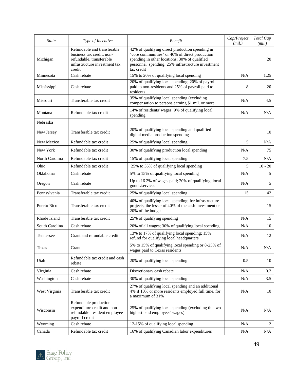| <b>State</b>   | Type of Incentive                                                                                                               | <b>Benefit</b>                                                                                                                                                                                                        | Cap/Project<br>(mil.) | Total Cap<br>(mil.) |
|----------------|---------------------------------------------------------------------------------------------------------------------------------|-----------------------------------------------------------------------------------------------------------------------------------------------------------------------------------------------------------------------|-----------------------|---------------------|
| Michigan       | Refundable and transferable<br>business tax credit; non-<br>refundable, transferable<br>infrastructure investment tax<br>credit | 42% of qualifying direct production spending in<br>"core communities" or 40% of direct production<br>spending in other locations; 30% of qualified<br>personnel spending; 25% infrastructure investment<br>tax credit |                       | 20                  |
| Minnesota      | Cash rebate                                                                                                                     | 15% to 20% of qualifying local spending                                                                                                                                                                               | N/A                   | 1.25                |
| Mississippi    | Cash rebate                                                                                                                     | 20% of qualifying local spending; 20% of payroll<br>paid to non-residents and 25% of payroll paid to<br>residents                                                                                                     | 8                     | 20                  |
| Missouri       | Transferable tax credit                                                                                                         | 35% of qualifying local spending (excluding<br>compensation to persons earning \$1 mil. or more                                                                                                                       | N/A                   | 4.5                 |
| Montana        | Refundable tax credit                                                                                                           | 14% of residents' wages; 9% of qualifying local<br>spending                                                                                                                                                           | N/A                   | N/A                 |
| Nebraska       |                                                                                                                                 |                                                                                                                                                                                                                       |                       |                     |
| New Jersey     | Transferable tax credit                                                                                                         | 20% of qualifying local spending and qualified<br>digital media production spending                                                                                                                                   |                       | 10                  |
| New Mexico     | Refundable tax credit                                                                                                           | 25% of qualifying local spending                                                                                                                                                                                      | 5                     | N/A                 |
| New York       | Refundable tax credit                                                                                                           | 30% of qualifying production local spending                                                                                                                                                                           | N/A                   | 75                  |
| North Carolina | Refundable tax credit                                                                                                           | 15% of qualifying local spending                                                                                                                                                                                      | 7.5                   | N/A                 |
| Ohio           | Refundable tax credit                                                                                                           | 25% to 35% of qualifying local spending                                                                                                                                                                               | 5                     | $10 - 20$           |
| Oklahoma       | Cash rebate                                                                                                                     | 5% to 15% of qualifying local spending                                                                                                                                                                                | N/A                   | 5                   |
| Oregon         | Cash rebate                                                                                                                     | Up to 16.2% of wages paid; 20% of qualifying local<br>goods/services                                                                                                                                                  | N/A                   | 5                   |
| Pennsylvania   | Transferable tax credit                                                                                                         | 25% of qualifying local spending                                                                                                                                                                                      | 15                    | 42                  |
| Puerto Rico    | Transferable tax credit                                                                                                         | 40% of qualifying local spending; for infrastructure<br>projects, the lesser of 40% of the cash investment or<br>20% of the budget                                                                                    |                       | 15                  |
| Rhode Island   | Transferable tax credit                                                                                                         | 25% of qualifying spending                                                                                                                                                                                            | N/A                   | 15                  |
| South Carolina | Cash rebate                                                                                                                     | 20% of all wages; 30% of qualifying local spending                                                                                                                                                                    | N/A                   | 10                  |
| Tennessee      | Grant and refundable credit                                                                                                     | 13% to 17% of qualifying local spending; 15%<br>refund for qualifying local headquarters                                                                                                                              | N/A                   | 12                  |
| Texas          | Grant                                                                                                                           | 5% to 15% of qualifying local spending or 8-25% of<br>wages paid to Texas residents                                                                                                                                   | N/A                   | N/A                 |
| Utah           | Refundable tax credit and cash<br>rebate                                                                                        | 20% of qualifying local spending                                                                                                                                                                                      | 0.5                   | 10                  |
| Virginia       | Cash rebate                                                                                                                     | Discretionary cash rebate                                                                                                                                                                                             | N/A                   | 0.2                 |
| Washington     | Cash rebate                                                                                                                     | 30% of qualifying local spending                                                                                                                                                                                      | N/A                   | 3.5                 |
| West Virginia  | Transferable tax credit                                                                                                         | 27% of qualifying local spending and an additional<br>4% if 10% or more residents employed full time, for<br>a maximum of 31%                                                                                         | N/A                   | 10                  |
| Wisconsin      | Refundable production<br>expenditure credit and non-<br>refundable resident employee<br>payroll credit                          | 25% of qualifying local spending (excluding the two<br>highest paid employees' wages)                                                                                                                                 | N/A                   | N/A                 |
| Wyoming        | Cash rebate                                                                                                                     | 12-15% of qualifying local spending                                                                                                                                                                                   | N/A                   | 2                   |
| Canada         | Refundable tax credit                                                                                                           | 16% of qualifying Canadian labor expenditures                                                                                                                                                                         | N/A                   | N/A                 |

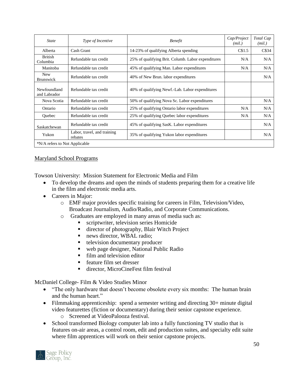| <b>State</b>                   | Type of Incentive                      | <b>Benefit</b>                                     | Cap/Project<br>(mil.) | Total Cap<br>(mil.) |
|--------------------------------|----------------------------------------|----------------------------------------------------|-----------------------|---------------------|
| Alberta                        | Cash Grant                             | 14-23% of qualifying Alberta spending              | CS1.5                 | C\$34               |
| <b>British</b><br>Columbia     | Refundable tax credit                  | 25% of qualifying Brit. Columb. Labor expenditures | N/A                   | N/A                 |
| Manitoba                       | Refundable tax credit                  | 45% of qualifying Man. Labor expenditures          | N/A                   | N/A                 |
| <b>New</b><br><b>Brunswick</b> | Refundable tax credit                  | 40% of New Brun. labor expenditures                |                       | N/A                 |
| Newfoundland<br>and Labrador   | Refundable tax credit                  | 40% of qualifying Newf.-Lab. Labor expenditures    |                       |                     |
| Nova Scotia                    | Refundable tax credit                  | 50% of qualifying Nova Sc. Labor expenditures      |                       | N/A                 |
| Ontario                        | Refundable tax credit                  | 25% of qualifying Ontario labor expenditures       | N/A                   | N/A                 |
| Ouebec                         | Refundable tax credit                  | 25% of qualifying Quebec labor expenditures        | N/A                   | N/A                 |
| Saskatchewan                   | Refundable tax credit                  | 45% of qualifying SasK. Labor expenditures         |                       | N/A                 |
| Yukon                          | Labor, travel, and training<br>rebates | 35% of qualifying Yukon labor expenditures         |                       | N/A                 |
| *N/A refers to Not Applicable  |                                        |                                                    |                       |                     |

#### <span id="page-50-0"></span>Maryland School Programs

Towson University: Mission Statement for Electronic Media and Film

- To develop the dreams and open the minds of students preparing them for a creative life in the film and electronic media arts.
- Careers in Major:
	- o EMF major provides specific training for careers in Film, Television/Video, Broadcast Journalism, Audio/Radio, and Corporate Communications.
	- o Graduates are employed in many areas of media such as:
		- scriptwriter, television series Homicide
		- director of photography, Blair Witch Project
		- news director, WBAL radio;
		- **television documentary producer**
		- web page designer, National Public Radio
		- film and television editor
		- feature film set dresser
		- director, MicroCineFest film festival

McDaniel College- Film & Video Studies Minor

- "The only hardware that doesn't become obsolete every six months: The human brain and the human heart."
- Filmmaking apprenticeship: spend a semester writing and directing 30+ minute digital video featurettes (fiction or documentary) during their senior capstone experience.
	- o Screened at VideoPalooza festival.
- School transformed Biology computer lab into a fully functioning TV studio that is features on-air areas, a control room, edit and production suites, and specialty edit suite where film apprentices will work on their senior capstone projects.

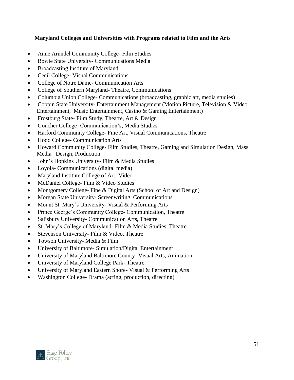#### **Maryland Colleges and Universities with Programs related to Film and the Arts**

- Anne Arundel Community College- Film Studies
- Bowie State University- Communications Media
- Broadcasting Institute of Maryland
- Cecil College- Visual Communications
- College of Notre Dame- Communication Arts
- College of Southern Maryland-Theatre, Communications
- Columbia Union College- Communications (broadcasting, graphic art, media studies)
- Coppin State University- Entertainment Management (Motion Picture, Television & Video Entertainment, Music Entertainment, Casino & Gaming Entertainment)
- Frostburg State- Film Study, Theatre, Art & Design
- Goucher College- Communication's, Media Studies
- Harford Community College- Fine Art, Visual Communications, Theatre
- Hood College- Communication Arts
- Howard Community College- Film Studies, Theatre, Gaming and Simulation Design, Mass Media Design, Production
- John's Hopkins University- Film & Media Studies
- Loyola- Communications (digital media)
- Maryland Institute College of Art- Video
- McDaniel College- Film & Video Studies
- Montgomery College- Fine & Digital Arts (School of Art and Design)
- Morgan State University- Screenwriting, Communications
- Mount St. Mary's University- Visual & Performing Arts
- Prince George's Community College- Communication, Theatre
- Salisbury University- Communication Arts, Theatre
- St. Mary's College of Maryland- Film & Media Studies, Theatre
- Stevenson University- Film & Video, Theatre
- Towson University- Media & Film
- University of Baltimore- Simulation/Digital Entertainment
- University of Maryland Baltimore County- Visual Arts, Animation
- University of Maryland College Park- Theatre
- University of Maryland Eastern Shore- Visual & Performing Arts
- Washington College- Drama (acting, production, directing)

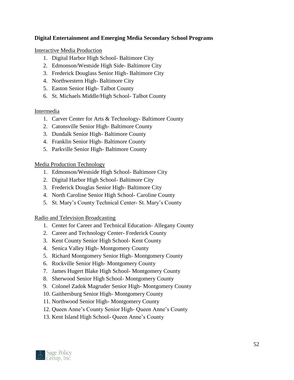#### **Digital Entertainment and Emerging Media Secondary School Programs**

Interactive Media Production

- 1. Digital Harbor High School- Baltimore City
- 2. Edmonson/Westside High Side- Baltimore City
- 3. Frederick Douglass Senior High- Baltimore City
- 4. Northwestern High- Baltimore City
- 5. Easton Senior High- Talbot County
- 6. St. Michaels Middle/High School- Talbot County

#### Intermedia

- 1. Carver Center for Arts & Technology- Baltimore County
- 2. Catonsville Senior High- Baltimore County
- 3. Dundalk Senior High- Baltimore County
- 4. Franklin Senior High- Baltimore County
- 5. Parkville Senior High- Baltimore County

Media Production Technology

- 1. Edmonson/Westside High School- Baltimore City
- 2. Digital Harbor High School- Baltimore City
- 3. Frederick Douglas Senior High- Baltimore City
- 4. North Caroline Senior High School- Caroline County
- 5. St. Mary's County Technical Center- St. Mary's County

Radio and Television Broadcasting

- 1. Center for Career and Technical Education- Allegany County
- 2. Career and Technology Center- Frederick County
- 3. Kent County Senior High School- Kent County
- 4. Senica Valley High- Montgomery County
- 5. Richard Montgomery Senior High- Montgomery County
- 6. Rockville Senior High- Montgomery County
- 7. James Hugert Blake High School- Montgomery County
- 8. Sherwood Senior High School- Montgomery County
- 9. Colonel Zadok Magruder Senior High- Montgomery County
- 10. Gaithersburg Senior High- Montgomery County
- 11. Northwood Senior High- Montgomery County
- 12. Queen Anne's County Senior High- Queen Anne's County
- 13. Kent Island High School- Queen Anne's County

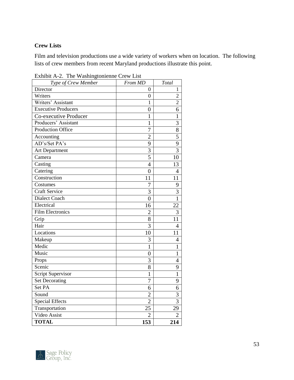#### <span id="page-53-0"></span>**Crew Lists**

Film and television productions use a wide variety of workers when on location. The following lists of crew members from recent Maryland productions illustrate this point.

| Type of Crew Member        | From MD          | Total          |
|----------------------------|------------------|----------------|
| Director                   | 0                | 1              |
| Writers                    | $\boldsymbol{0}$ | $\overline{c}$ |
| Writers' Assistant         | $\mathbf 1$      | $\overline{c}$ |
| <b>Executive Producers</b> | $\boldsymbol{0}$ | 6              |
| Co-executive Producer      | 1                | 1              |
| Producers' Assistant       | 1                | 3              |
| Production Office          | 7                | 8              |
| Accounting                 | $\overline{2}$   | $\overline{5}$ |
| AD's/Set PA's              | 9                | $\overline{9}$ |
| <b>Art Department</b>      | 3                | $\overline{3}$ |
| Camera                     | 5                | 10             |
| Casting                    | $\overline{4}$   | 13             |
| Catering                   | $\overline{0}$   | 4              |
| Construction               | 11               | 11             |
| Costumes                   | 7                | 9              |
| <b>Craft Service</b>       | 3                | 3              |
| <b>Dialect Coach</b>       | $\overline{0}$   | $\overline{1}$ |
| Electrical                 | 16               | 22             |
| <b>Film Electronics</b>    | $\overline{2}$   | 3              |
| Grip                       | 8                | 11             |
| Hair                       | 3                | $\overline{4}$ |
| Locations                  | 10               | 11             |
| Makeup                     | 3                | 4              |
| Medic                      | $\mathbf{1}$     | $\mathbf{1}$   |
| Music                      | $\overline{0}$   | 1              |
| Props                      | 3                | $\overline{4}$ |
| Scenic                     | 8                | 9              |
| Script Supervisor          | 1                | $\mathbf{1}$   |
| <b>Set Decorating</b>      | 7                | 9              |
| Set PA                     | 6                | 6              |
| Sound                      | $\overline{2}$   | 3              |
| <b>Special Effects</b>     | $\overline{2}$   | $\overline{3}$ |
| Transportation             | 25               | 29             |
| Video Assist               | $\overline{2}$   | $\overline{2}$ |
| <b>TOTAL</b>               | 153              | 214            |

<span id="page-53-1"></span>Exhibit A-2. The Washingtonienne Crew List